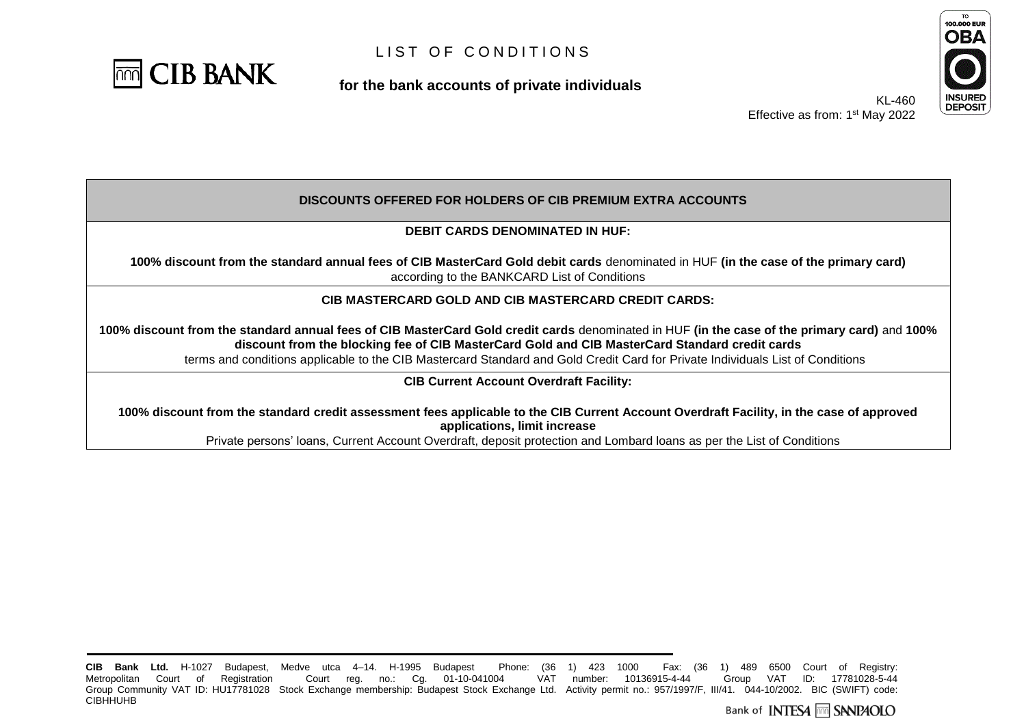

**for the bank accounts of private individuals**



KL-460 Effective as from: 1<sup>st</sup> May 2022

#### **DISCOUNTS OFFERED FOR HOLDERS OF CIB PREMIUM EXTRA ACCOUNTS**

#### **DEBIT CARDS DENOMINATED IN HUF:**

**100% discount from the standard annual fees of CIB MasterCard Gold debit cards** denominated in HUF **(in the case of the primary card)** according to the BANKCARD List of Conditions

#### **CIB MASTERCARD GOLD AND CIB MASTERCARD CREDIT CARDS:**

**100% discount from the standard annual fees of CIB MasterCard Gold credit cards** denominated in HUF **(in the case of the primary card)** and **100% discount from the blocking fee of CIB MasterCard Gold and CIB MasterCard Standard credit cards**

terms and conditions applicable to the CIB Mastercard Standard and Gold Credit Card for Private Individuals List of Conditions

**CIB Current Account Overdraft Facility:**

**100% discount from the standard credit assessment fees applicable to the CIB Current Account Overdraft Facility, in the case of approved applications, limit increase**

Private persons' loans, Current Account Overdraft, deposit protection and Lombard loans as per the List of Conditions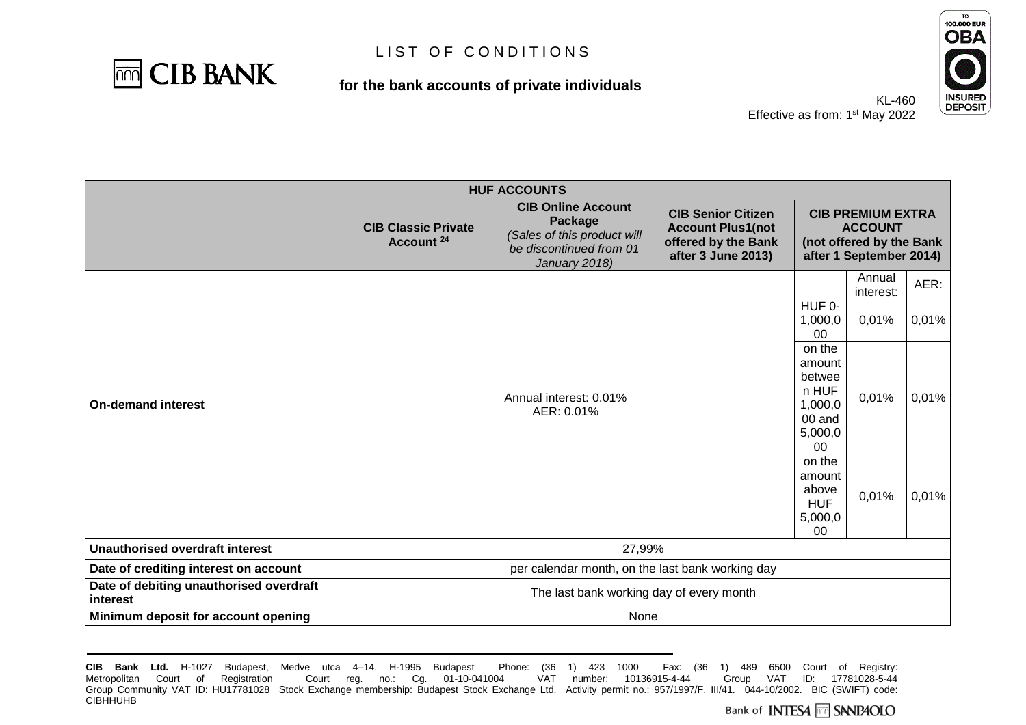

### **for the bank accounts of private individuals**



| <b>HUF ACCOUNTS</b>                                 |                                                                                                                                                                                                                                                                                                                                                                 |  |  |                                                                           |                     |       |
|-----------------------------------------------------|-----------------------------------------------------------------------------------------------------------------------------------------------------------------------------------------------------------------------------------------------------------------------------------------------------------------------------------------------------------------|--|--|---------------------------------------------------------------------------|---------------------|-------|
|                                                     | <b>CIB Online Account</b><br><b>CIB Senior Citizen</b><br><b>CIB PREMIUM EXTRA</b><br>Package<br><b>CIB Classic Private</b><br><b>Account Plus1(not</b><br>(Sales of this product will<br>Account <sup>24</sup><br>offered by the Bank<br>(not offered by the Bank<br>be discontinued from 01<br>after 3 June 2013)<br>after 1 September 2014)<br>January 2018) |  |  |                                                                           | <b>ACCOUNT</b>      |       |
|                                                     |                                                                                                                                                                                                                                                                                                                                                                 |  |  |                                                                           | Annual<br>interest: | AER:  |
|                                                     | Annual interest: 0.01%<br>AER: 0.01%                                                                                                                                                                                                                                                                                                                            |  |  | HUF 0-<br>1,000,0<br>00                                                   | 0,01%               | 0,01% |
| <b>On-demand interest</b>                           |                                                                                                                                                                                                                                                                                                                                                                 |  |  | on the<br>amount<br>betwee<br>n HUF<br>1,000,0<br>00 and<br>5,000,0<br>00 | 0,01%               | 0,01% |
|                                                     | on the<br>amount<br>above<br><b>HUF</b><br>5,000,0<br>$00\,$                                                                                                                                                                                                                                                                                                    |  |  |                                                                           | 0,01%               | 0,01% |
| <b>Unauthorised overdraft interest</b>              | 27,99%                                                                                                                                                                                                                                                                                                                                                          |  |  |                                                                           |                     |       |
| Date of crediting interest on account               | per calendar month, on the last bank working day                                                                                                                                                                                                                                                                                                                |  |  |                                                                           |                     |       |
| Date of debiting unauthorised overdraft<br>interest | The last bank working day of every month                                                                                                                                                                                                                                                                                                                        |  |  |                                                                           |                     |       |
| Minimum deposit for account opening                 | None                                                                                                                                                                                                                                                                                                                                                            |  |  |                                                                           |                     |       |

**CIB Bank Ltd.** H-1027 Budapest, Medve utca 4–14. H-1995 Budapest Phone: (36 1) 423 1000 Fax: (36 1) 489 6500 Court of Registry: Metropolitan Court of Registration Court reg. no.: Cg. 01-10-041004 Group Community VAT ID: HU17781028 Stock Exchange membership: Budapest Stock Exchange Ltd. Activity permit no.: 957/1997/F, III/41. 044-10/2002. BIC (SWIFT) code: **CIBHHUHB**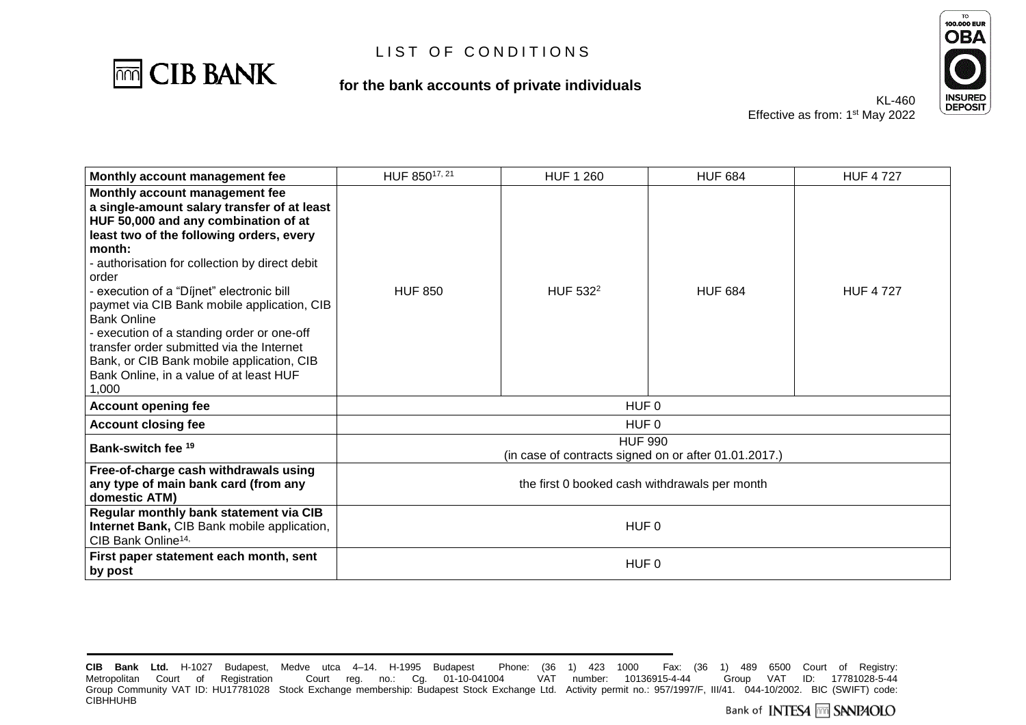

### **for the bank accounts of private individuals**



| Monthly account management fee                                                                                                                                                                                                                                                                                                                                                                                                                                                                                                                       | HUF 85017, 21                                                           | <b>HUF 1 260</b>     | <b>HUF 684</b> | <b>HUF 4727</b> |  |
|------------------------------------------------------------------------------------------------------------------------------------------------------------------------------------------------------------------------------------------------------------------------------------------------------------------------------------------------------------------------------------------------------------------------------------------------------------------------------------------------------------------------------------------------------|-------------------------------------------------------------------------|----------------------|----------------|-----------------|--|
| Monthly account management fee<br>a single-amount salary transfer of at least<br>HUF 50,000 and any combination of at<br>least two of the following orders, every<br>month:<br>- authorisation for collection by direct debit<br>order<br>- execution of a "Díjnet" electronic bill<br>paymet via CIB Bank mobile application, CIB<br><b>Bank Online</b><br>- execution of a standing order or one-off<br>transfer order submitted via the Internet<br>Bank, or CIB Bank mobile application, CIB<br>Bank Online, in a value of at least HUF<br>1,000 | <b>HUF 850</b>                                                          | HUF 532 <sup>2</sup> | <b>HUF 684</b> | <b>HUF 4727</b> |  |
| <b>Account opening fee</b>                                                                                                                                                                                                                                                                                                                                                                                                                                                                                                                           | HUF <sub>0</sub>                                                        |                      |                |                 |  |
| <b>Account closing fee</b>                                                                                                                                                                                                                                                                                                                                                                                                                                                                                                                           | HUF <sub>0</sub>                                                        |                      |                |                 |  |
| Bank-switch fee <sup>19</sup>                                                                                                                                                                                                                                                                                                                                                                                                                                                                                                                        | <b>HUF 990</b><br>(in case of contracts signed on or after 01.01.2017.) |                      |                |                 |  |
| Free-of-charge cash withdrawals using<br>any type of main bank card (from any<br>domestic ATM)                                                                                                                                                                                                                                                                                                                                                                                                                                                       | the first 0 booked cash withdrawals per month                           |                      |                |                 |  |
| Regular monthly bank statement via CIB<br>Internet Bank, CIB Bank mobile application,<br>CIB Bank Online <sup>14,</sup>                                                                                                                                                                                                                                                                                                                                                                                                                              | HUF <sub>0</sub>                                                        |                      |                |                 |  |
| First paper statement each month, sent<br>by post                                                                                                                                                                                                                                                                                                                                                                                                                                                                                                    | HUF <sub>0</sub>                                                        |                      |                |                 |  |

**CIB Bank Ltd.** H-1027 Budapest, Medve utca 4–14. H-1995 Budapest Phone: (36 1) 423 1000 Fax: (36 1) 489 6500 Court of Registry: Metropolitan Court of Registration Court reg. no.: Cg. 01-10-041004 Group Community VAT ID: HU17781028 Stock Exchange membership: Budapest Stock Exchange Ltd. Activity permit no.: 957/1997/F, III/41. 044-10/2002. BIC (SWIFT) code: **CIBHHUHB**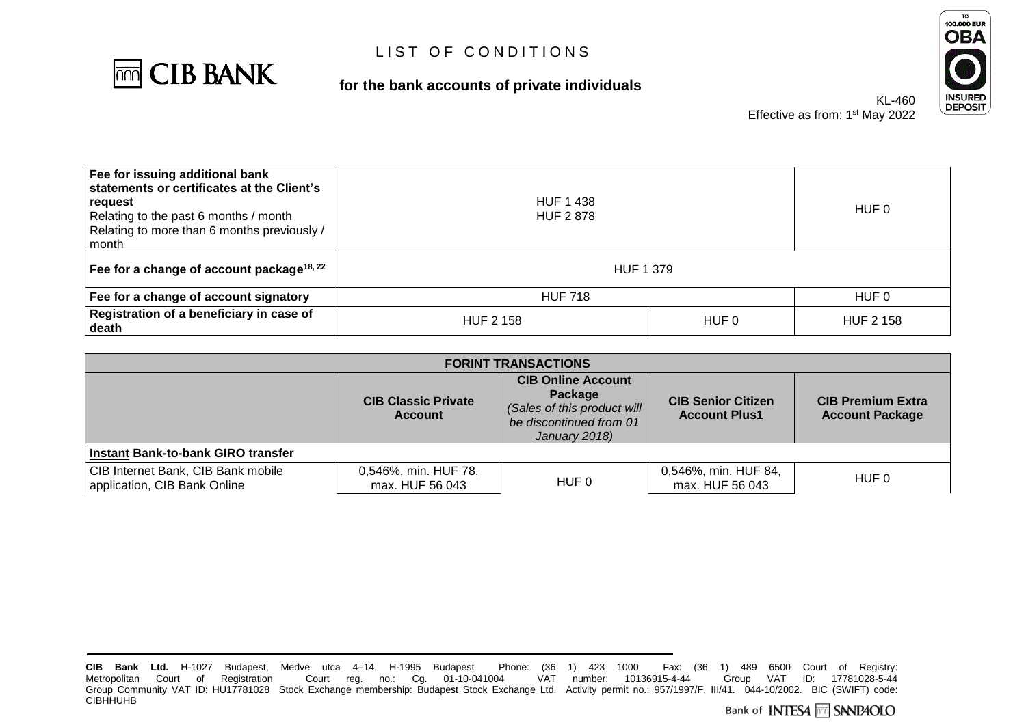

### **for the bank accounts of private individuals**



| Fee for issuing additional bank<br>statements or certificates at the Client's<br>  request<br>Relating to the past 6 months / month<br>Relating to more than 6 months previously /<br>l month | <b>HUF 1 438</b><br><b>HUF 2878</b> |       | HUF 0            |  |
|-----------------------------------------------------------------------------------------------------------------------------------------------------------------------------------------------|-------------------------------------|-------|------------------|--|
| Fee for a change of account package <sup>18, 22</sup>                                                                                                                                         | <b>HUF 1379</b>                     |       |                  |  |
| Fee for a change of account signatory                                                                                                                                                         | <b>HUF 718</b>                      | HUF 0 |                  |  |
| Registration of a beneficiary in case of<br>∣ death                                                                                                                                           | <b>HUF 2 158</b>                    | HUF 0 | <b>HUF 2 158</b> |  |

| <b>FORINT TRANSACTIONS</b>                                         |                                              |                                                                                                                 |                                                   |                                                    |
|--------------------------------------------------------------------|----------------------------------------------|-----------------------------------------------------------------------------------------------------------------|---------------------------------------------------|----------------------------------------------------|
|                                                                    | <b>CIB Classic Private</b><br><b>Account</b> | <b>CIB Online Account</b><br>Package<br>(Sales of this product will<br>be discontinued from 01<br>January 2018) | <b>CIB Senior Citizen</b><br><b>Account Plus1</b> | <b>CIB Premium Extra</b><br><b>Account Package</b> |
| Instant Bank-to-bank GIRO transfer                                 |                                              |                                                                                                                 |                                                   |                                                    |
| CIB Internet Bank, CIB Bank mobile<br>application, CIB Bank Online | 0,546%, min. HUF 78,<br>max. HUF 56 043      | HUF 0                                                                                                           | 0,546%, min. HUF 84,<br>max. HUF 56 043           | HUF 0                                              |

**CIB Bank Ltd.** H-1027 Budapest, Medve utca 4–14. H-1995 Budapest Phone: (36 1) 423 1000 Fax:<br>Metropolitan Court of Registration Court reg. no.: Cg. 01-10-041004 VAT number: 10136915-4-44 CIB Bank Ltd. H-1027 Budapest, Medve utca 4–14. H-1995 Budapest Phone: (36 1) 423 1000 Fax: (36 1) 489 6500 Court of Registry:<br>Metropolitan Court of Registration Court reg. no.: Cg. 01-10-041004 VAT number: 10136915-4-44 G Group Community VAT ID: HU17781028 Stock Exchange membership: Budapest Stock Exchange Ltd. Activity permit no.: 957/1997/F, III/41. 044-10/2002. BIC (SWIFT) code: **CIBHHUHB**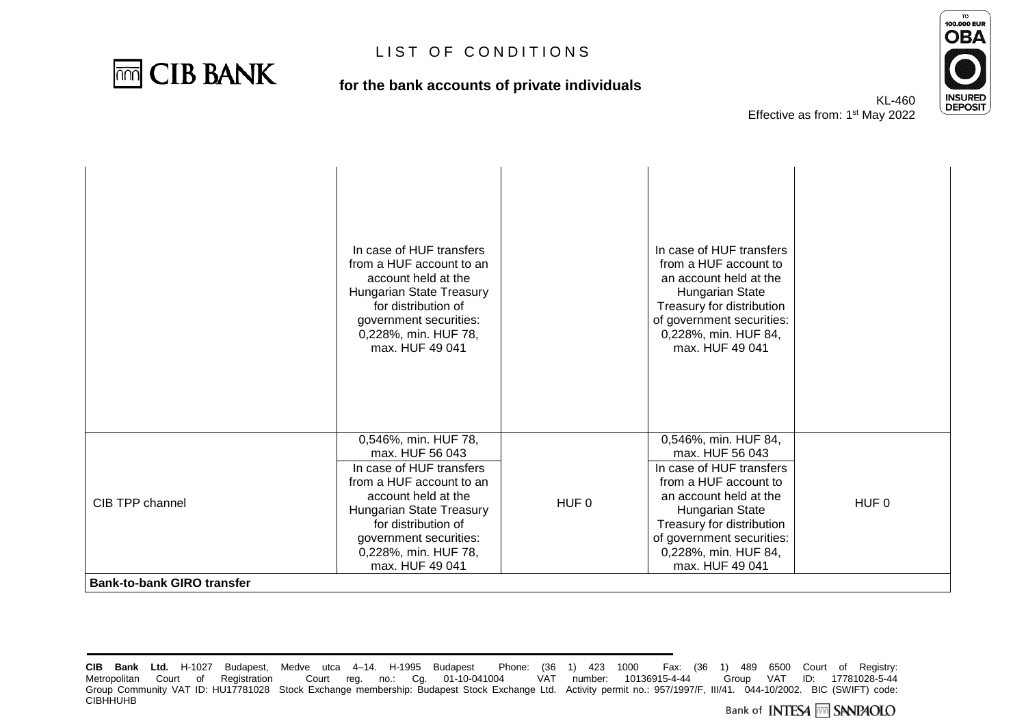

### **for the bank accounts of private individuals**



|                                                      | In case of HUF transfers<br>from a HUF account to an<br>account held at the<br>Hungarian State Treasury<br>for distribution of<br>government securities:<br>0,228%, min. HUF 78,<br>max. HUF 49 041                                            |       | In case of HUF transfers<br>from a HUF account to<br>an account held at the<br>Hungarian State<br>Treasury for distribution<br>of government securities:<br>0,228%, min. HUF 84,<br>max. HUF 49 041                                            |       |
|------------------------------------------------------|------------------------------------------------------------------------------------------------------------------------------------------------------------------------------------------------------------------------------------------------|-------|------------------------------------------------------------------------------------------------------------------------------------------------------------------------------------------------------------------------------------------------|-------|
| CIB TPP channel<br><b>Bank-to-bank GIRO transfer</b> | 0,546%, min. HUF 78,<br>max. HUF 56 043<br>In case of HUF transfers<br>from a HUF account to an<br>account held at the<br>Hungarian State Treasury<br>for distribution of<br>government securities:<br>0,228%, min. HUF 78,<br>max. HUF 49 041 | HUF 0 | 0,546%, min. HUF 84,<br>max. HUF 56 043<br>In case of HUF transfers<br>from a HUF account to<br>an account held at the<br>Hungarian State<br>Treasury for distribution<br>of government securities:<br>0,228%, min. HUF 84,<br>max. HUF 49 041 | HUF 0 |

**CIB Bank Ltd.** H-1027 Budapest, Medve utca 4–14. H-1995 Budapest Phone: (36 1) 423 1000 Fax: (36 1) 489 6500 Court of Registry: Metropolitan Court of Registration Court reg. no.: Cg. 01-10-041004 Group Community VAT ID: HU17781028 Stock Exchange membership: Budapest Stock Exchange Ltd. Activity permit no.: 957/1997/F, III/41. 044-10/2002. BIC (SWIFT) code: **CIBHHUHB**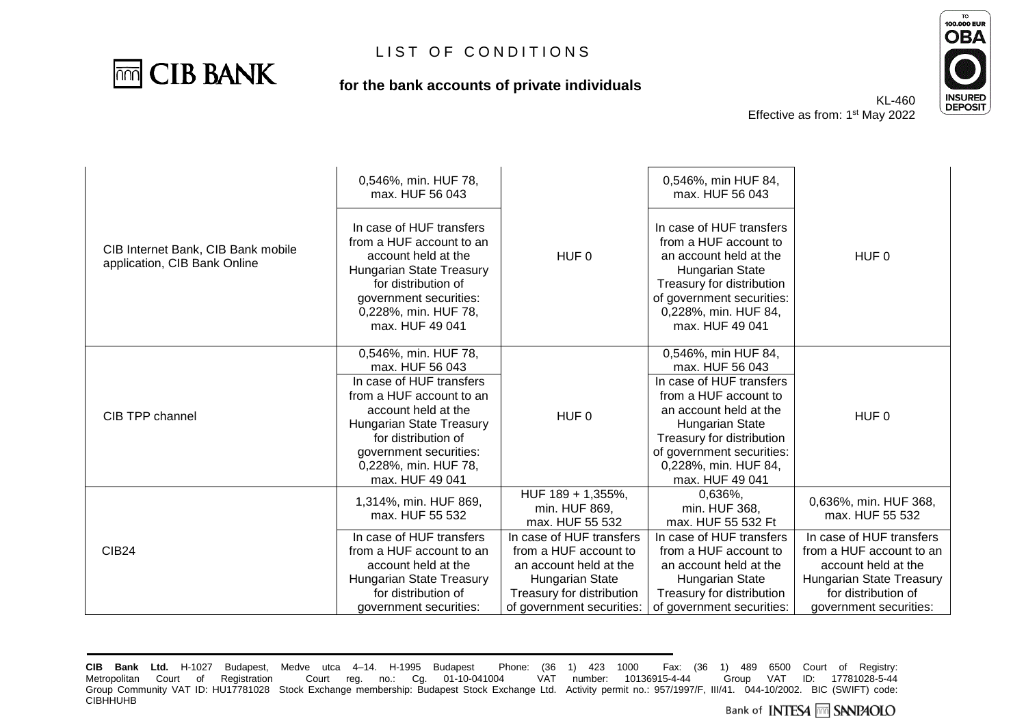

### **for the bank accounts of private individuals**



KL-460 Effective as from: 1<sup>st</sup> May 2022

| CIB Internet Bank, CIB Bank mobile<br>application, CIB Bank Online | 0,546%, min. HUF 78,<br>max. HUF 56 043<br>In case of HUF transfers<br>from a HUF account to an<br>account held at the<br><b>Hungarian State Treasury</b><br>for distribution of<br>government securities:<br>0,228%, min. HUF 78,<br>max. HUF 49 041 | HUF <sub>0</sub>                                                                                                                                         | 0,546%, min HUF 84,<br>max. HUF 56 043<br>In case of HUF transfers<br>from a HUF account to<br>an account held at the<br><b>Hungarian State</b><br>Treasury for distribution<br>of government securities:<br>0,228%, min. HUF 84,<br>max. HUF 49 041 | HUF <sub>0</sub>                                                                                                                                         |
|--------------------------------------------------------------------|-------------------------------------------------------------------------------------------------------------------------------------------------------------------------------------------------------------------------------------------------------|----------------------------------------------------------------------------------------------------------------------------------------------------------|------------------------------------------------------------------------------------------------------------------------------------------------------------------------------------------------------------------------------------------------------|----------------------------------------------------------------------------------------------------------------------------------------------------------|
| CIB TPP channel                                                    | 0,546%, min. HUF 78,<br>max. HUF 56 043<br>In case of HUF transfers<br>from a HUF account to an<br>account held at the<br><b>Hungarian State Treasury</b><br>for distribution of<br>government securities:<br>0,228%, min. HUF 78,<br>max. HUF 49 041 | HUF <sub>0</sub>                                                                                                                                         | 0,546%, min HUF 84,<br>max. HUF 56 043<br>In case of HUF transfers<br>from a HUF account to<br>an account held at the<br>Hungarian State<br>Treasury for distribution<br>of government securities:<br>0,228%, min. HUF 84,<br>max. HUF 49 041        | HUF <sub>0</sub>                                                                                                                                         |
|                                                                    | 1,314%, min. HUF 869,<br>max. HUF 55 532                                                                                                                                                                                                              | HUF 189 + 1,355%,<br>min. HUF 869,<br>max. HUF 55 532                                                                                                    | 0,636%,<br>min. HUF 368,<br>max. HUF 55 532 Ft                                                                                                                                                                                                       | 0,636%, min. HUF 368,<br>max. HUF 55 532                                                                                                                 |
| <b>CIB24</b>                                                       | In case of HUF transfers<br>from a HUF account to an<br>account held at the<br>Hungarian State Treasury<br>for distribution of<br>aovernment securities:                                                                                              | In case of HUF transfers<br>from a HUF account to<br>an account held at the<br>Hungarian State<br>Treasury for distribution<br>of government securities: | In case of HUF transfers<br>from a HUF account to<br>an account held at the<br>Hungarian State<br>Treasury for distribution<br>of government securities:                                                                                             | In case of HUF transfers<br>from a HUF account to an<br>account held at the<br>Hungarian State Treasury<br>for distribution of<br>government securities: |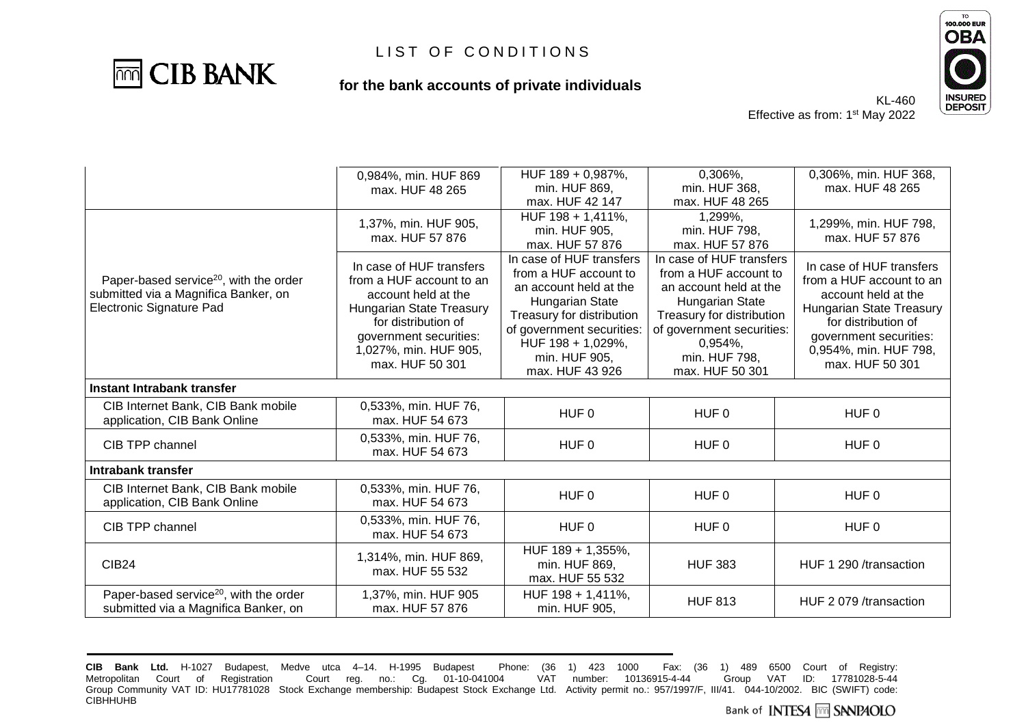

#### **for the bank accounts of private individuals**



KL-460 Effective as from: 1<sup>st</sup> May 2022

| 0,306%,<br>0,306%, min. HUF 368,<br>HUF 189 + 0,987%,<br>0,984%, min. HUF 869<br>min. HUF 869,<br>min. HUF 368,<br>max. HUF 48 265<br>max. HUF 48 265<br>max. HUF 42 147<br>max. HUF 48 265<br>HUF 198 + 1,411%,<br>1,299%,<br>1,299%, min. HUF 798,<br>1,37%, min. HUF 905, |  |
|------------------------------------------------------------------------------------------------------------------------------------------------------------------------------------------------------------------------------------------------------------------------------|--|
|                                                                                                                                                                                                                                                                              |  |
|                                                                                                                                                                                                                                                                              |  |
|                                                                                                                                                                                                                                                                              |  |
|                                                                                                                                                                                                                                                                              |  |
| min. HUF 905.<br>min. HUF 798,<br>max. HUF 57 876<br>max. HUF 57 876                                                                                                                                                                                                         |  |
| max. HUF 57 876<br>max. HUF 57 876                                                                                                                                                                                                                                           |  |
| In case of HUF transfers<br>In case of HUF transfers                                                                                                                                                                                                                         |  |
| In case of HUF transfers<br>In case of HUF transfers<br>from a HUF account to<br>from a HUF account to                                                                                                                                                                       |  |
| Paper-based service <sup>20</sup> , with the order<br>from a HUF account to an<br>from a HUF account to an<br>an account held at the<br>an account held at the                                                                                                               |  |
| submitted via a Magnifica Banker, on<br>account held at the<br>account held at the<br>Hungarian State<br>Hungarian State                                                                                                                                                     |  |
| Electronic Signature Pad<br><b>Hungarian State Treasury</b><br><b>Hungarian State Treasury</b><br>Treasury for distribution<br>Treasury for distribution                                                                                                                     |  |
| for distribution of<br>for distribution of<br>of government securities:<br>of government securities:                                                                                                                                                                         |  |
| government securities:<br>government securities:<br>HUF 198 + 1,029%,<br>$0,954\%$ ,                                                                                                                                                                                         |  |
| 1,027%, min. HUF 905,<br>0,954%, min. HUF 798,<br>min. HUF 905,<br>min. HUF 798,                                                                                                                                                                                             |  |
| max. HUF 50 301<br>max. HUF 50 301<br>max. HUF 43 926<br>max. HUF 50 301                                                                                                                                                                                                     |  |
|                                                                                                                                                                                                                                                                              |  |
| Instant Intrabank transfer                                                                                                                                                                                                                                                   |  |
| CIB Internet Bank, CIB Bank mobile<br>0,533%, min. HUF 76,<br>HUF <sub>0</sub>                                                                                                                                                                                               |  |
| HUF 0<br>HUF 0<br>max. HUF 54 673<br>application, CIB Bank Online                                                                                                                                                                                                            |  |
| 0,533%, min. HUF 76,                                                                                                                                                                                                                                                         |  |
| CIB TPP channel<br>HUF <sub>0</sub><br>HUF 0<br>HUF <sub>0</sub><br>max, HUF 54 673                                                                                                                                                                                          |  |
| Intrabank transfer                                                                                                                                                                                                                                                           |  |
| CIB Internet Bank, CIB Bank mobile<br>0,533%, min. HUF 76,                                                                                                                                                                                                                   |  |
| HUF <sub>0</sub><br>HUF 0<br>HUF 0<br>application, CIB Bank Online<br>max. HUF 54 673                                                                                                                                                                                        |  |
|                                                                                                                                                                                                                                                                              |  |
| 0,533%, min. HUF 76,<br>HUF <sub>0</sub><br>HUF 0<br>HUF 0<br>CIB TPP channel                                                                                                                                                                                                |  |
| max. HUF 54 673                                                                                                                                                                                                                                                              |  |
| HUF 189 + 1,355%,<br>1,314%, min. HUF 869,                                                                                                                                                                                                                                   |  |
| <b>CIB24</b><br><b>HUF 383</b><br>HUF 1 290 /transaction<br>min. HUF 869,<br>max. HUF 55 532                                                                                                                                                                                 |  |
| max. HUF 55 532                                                                                                                                                                                                                                                              |  |
| Paper-based service <sup>20</sup> , with the order<br>1,37%, min. HUF 905<br>HUF 198 + 1,411%,                                                                                                                                                                               |  |
| <b>HUF 813</b><br>HUF 2 079 /transaction<br>submitted via a Magnifica Banker, on<br>max. HUF 57 876<br>min. HUF 905,                                                                                                                                                         |  |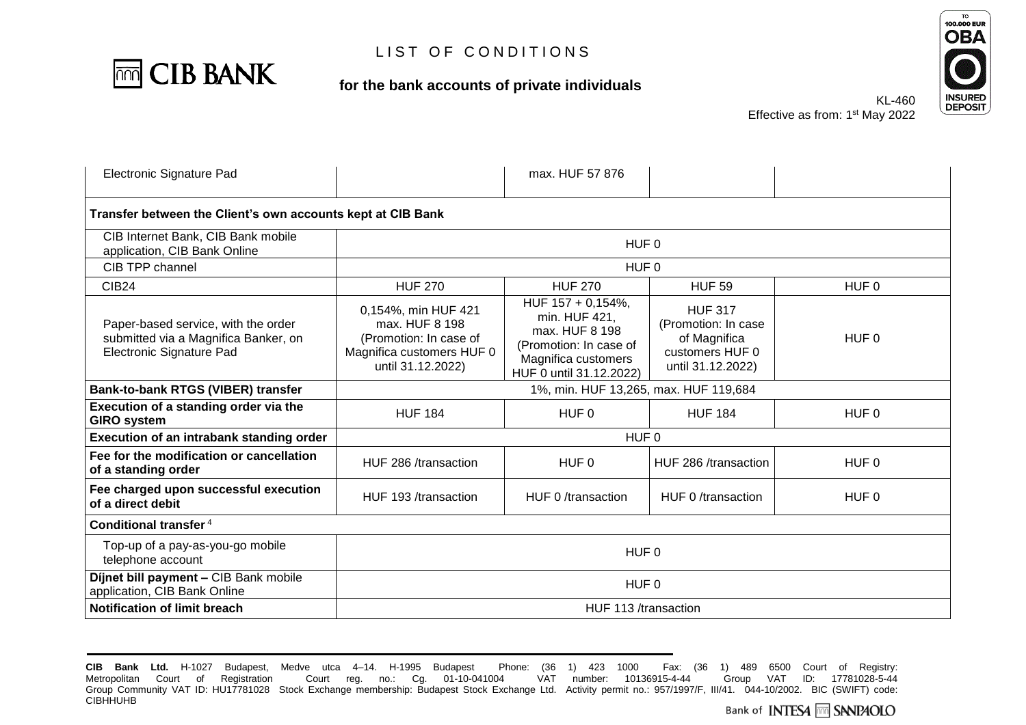

### **for the bank accounts of private individuals**



Effective as from: 1

| KL-460                     | INS<br>DE |
|----------------------------|-----------|
| : 1 <sup>st</sup> May 2022 |           |
|                            |           |

| Electronic Signature Pad                                                                                |                                                                                                                   | max. HUF 57 876                                                                                                                  |                                                                                               |                  |
|---------------------------------------------------------------------------------------------------------|-------------------------------------------------------------------------------------------------------------------|----------------------------------------------------------------------------------------------------------------------------------|-----------------------------------------------------------------------------------------------|------------------|
| Transfer between the Client's own accounts kept at CIB Bank                                             |                                                                                                                   |                                                                                                                                  |                                                                                               |                  |
| CIB Internet Bank, CIB Bank mobile<br>application, CIB Bank Online                                      | HUF <sub>0</sub>                                                                                                  |                                                                                                                                  |                                                                                               |                  |
| CIB TPP channel                                                                                         |                                                                                                                   | HUF <sub>0</sub>                                                                                                                 |                                                                                               |                  |
| <b>CIB24</b>                                                                                            | <b>HUF 270</b>                                                                                                    | <b>HUF 270</b>                                                                                                                   | <b>HUF 59</b>                                                                                 | HUF <sub>0</sub> |
| Paper-based service, with the order<br>submitted via a Magnifica Banker, on<br>Electronic Signature Pad | 0,154%, min HUF 421<br>max. HUF 8 198<br>(Promotion: In case of<br>Magnifica customers HUF 0<br>until 31.12.2022) | HUF 157 + 0,154%,<br>min. HUF 421,<br>max. HUF 8 198<br>(Promotion: In case of<br>Magnifica customers<br>HUF 0 until 31.12.2022) | <b>HUF 317</b><br>(Promotion: In case<br>of Magnifica<br>customers HUF 0<br>until 31.12.2022) | HUF <sub>0</sub> |
| Bank-to-bank RTGS (VIBER) transfer                                                                      | 1%, min. HUF 13,265, max. HUF 119,684                                                                             |                                                                                                                                  |                                                                                               |                  |
| Execution of a standing order via the<br><b>GIRO system</b>                                             | <b>HUF 184</b>                                                                                                    | HUF 0                                                                                                                            | <b>HUF 184</b>                                                                                | HUF 0            |
| Execution of an intrabank standing order                                                                | HUF <sub>0</sub>                                                                                                  |                                                                                                                                  |                                                                                               |                  |
| Fee for the modification or cancellation<br>of a standing order                                         | HUF 286 /transaction                                                                                              | HUF 0                                                                                                                            | HUF 286 /transaction                                                                          | HUF <sub>0</sub> |
| Fee charged upon successful execution<br>of a direct debit                                              | HUF 193 /transaction                                                                                              | HUF 0/transaction                                                                                                                | HUF 0/transaction                                                                             | HUF <sub>0</sub> |
| Conditional transfer <sup>4</sup>                                                                       |                                                                                                                   |                                                                                                                                  |                                                                                               |                  |
| Top-up of a pay-as-you-go mobile<br>telephone account                                                   | HUF <sub>0</sub>                                                                                                  |                                                                                                                                  |                                                                                               |                  |
| Díjnet bill payment - CIB Bank mobile<br>application, CIB Bank Online                                   | HUF <sub>0</sub>                                                                                                  |                                                                                                                                  |                                                                                               |                  |
| Notification of limit breach                                                                            | HUF 113 /transaction                                                                                              |                                                                                                                                  |                                                                                               |                  |

**CIB Bank Ltd.** H-1027 Budapest, Medve utca 4–14. H-1995 Budapest Phone: (36 1) 423 1000 Fax:<br>Metropolitan Court of Registration Court reg. no.: Cg. 01-10-041004 VAT number: 10136915-4-44 CIB Bank Ltd. H-1027 Budapest, Medve utca 4–14. H-1995 Budapest Phone: (36 1) 423 1000 Fax: (36 1) 489 6500 Court of Registry:<br>Metropolitan Court of Registration Court reg. no.: Cg. 01-10-041004 VAT number: 10136915-4-44 G Group Community VAT ID: HU17781028 Stock Exchange membership: Budapest Stock Exchange Ltd. Activity permit no.: 957/1997/F, III/41. 044-10/2002. BIC (SWIFT) code: **CIBHHUHB**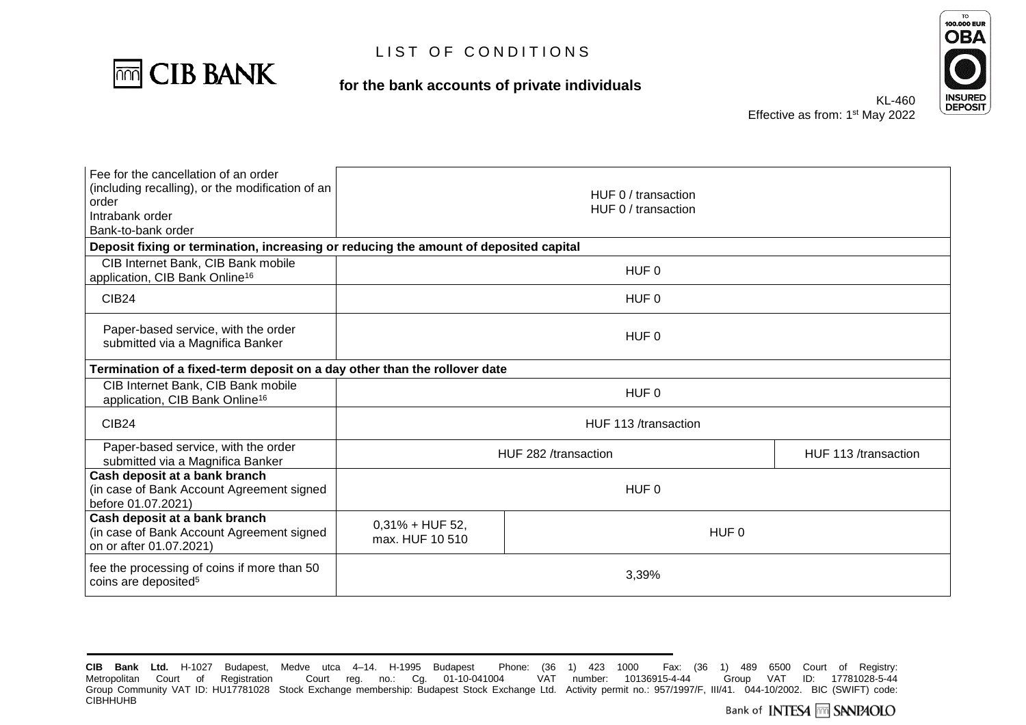

### **for the bank accounts of private individuals**



Effective as fr

| KL-460            |  |
|-------------------|--|
| rom: 1st May 2022 |  |

| Fee for the cancellation of an order<br>(including recalling), or the modification of an<br>order<br>Intrabank order<br>Bank-to-bank order | HUF 0 / transaction<br>HUF 0 / transaction     |       |  |
|--------------------------------------------------------------------------------------------------------------------------------------------|------------------------------------------------|-------|--|
| Deposit fixing or termination, increasing or reducing the amount of deposited capital                                                      |                                                |       |  |
| CIB Internet Bank, CIB Bank mobile<br>application, CIB Bank Online <sup>16</sup>                                                           | HUF 0                                          |       |  |
| CIB <sub>24</sub>                                                                                                                          |                                                | HUF 0 |  |
| Paper-based service, with the order<br>submitted via a Magnifica Banker                                                                    | HUF 0                                          |       |  |
| Termination of a fixed-term deposit on a day other than the rollover date                                                                  |                                                |       |  |
| CIB Internet Bank, CIB Bank mobile<br>application, CIB Bank Online <sup>16</sup>                                                           | HUF <sub>0</sub>                               |       |  |
| <b>CIB24</b>                                                                                                                               | HUF 113 /transaction                           |       |  |
| Paper-based service, with the order<br>submitted via a Magnifica Banker                                                                    | HUF 113 /transaction<br>HUF 282 /transaction   |       |  |
| Cash deposit at a bank branch<br>(in case of Bank Account Agreement signed<br>before 01.07.2021)                                           | HUF <sub>0</sub>                               |       |  |
| Cash deposit at a bank branch<br>(in case of Bank Account Agreement signed<br>on or after 01.07.2021)                                      | $0,31\% + HUF 52,$<br>HUF 0<br>max. HUF 10 510 |       |  |
| fee the processing of coins if more than 50<br>coins are deposited <sup>5</sup>                                                            | 3,39%                                          |       |  |

**CIB Bank Ltd.** H-1027 Budapest, Medve utca 4–14. H-1995 Budapest Phone: (36 1) 423 1000 Fax:<br>Metropolitan Court of Registration Court reg. no.: Cg. 01-10-041004 VAT number: 10136915-4-44 CIB Bank Ltd. H-1027 Budapest, Medve utca 4–14. H-1995 Budapest Phone: (36 1) 423 1000 Fax: (36 1) 489 6500 Court of Registry:<br>Metropolitan Court of Registration Court reg. no.: Cg. 01-10-041004 VAT number: 10136915-4-44 G Group Community VAT ID: HU17781028 Stock Exchange membership: Budapest Stock Exchange Ltd. Activity permit no.: 957/1997/F, III/41. 044-10/2002. BIC (SWIFT) code: **CIBHHUHB**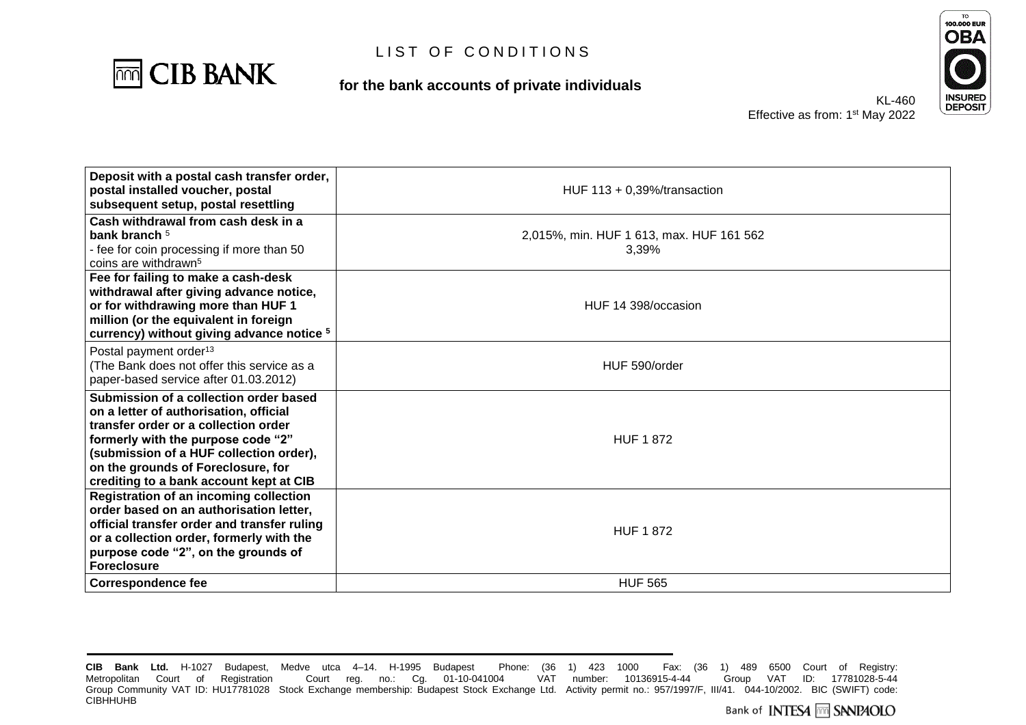

**for the bank accounts of private individuals**



| Deposit with a postal cash transfer order,<br>postal installed voucher, postal<br>subsequent setup, postal resettling                                                                                                                                                                      | HUF $113 + 0.39%$ /transaction                    |
|--------------------------------------------------------------------------------------------------------------------------------------------------------------------------------------------------------------------------------------------------------------------------------------------|---------------------------------------------------|
| Cash withdrawal from cash desk in a<br>bank branch <sup>5</sup><br>- fee for coin processing if more than 50<br>coins are withdrawn <sup>5</sup>                                                                                                                                           | 2,015%, min. HUF 1 613, max. HUF 161 562<br>3,39% |
| Fee for failing to make a cash-desk<br>withdrawal after giving advance notice,<br>or for withdrawing more than HUF 1<br>million (or the equivalent in foreign<br>currency) without giving advance notice 5                                                                                 | HUF 14 398/occasion                               |
| Postal payment order <sup>13</sup><br>(The Bank does not offer this service as a<br>paper-based service after 01.03.2012)                                                                                                                                                                  | HUF 590/order                                     |
| Submission of a collection order based<br>on a letter of authorisation, official<br>transfer order or a collection order<br>formerly with the purpose code "2"<br>(submission of a HUF collection order),<br>on the grounds of Foreclosure, for<br>crediting to a bank account kept at CIB | <b>HUF 1872</b>                                   |
| <b>Registration of an incoming collection</b><br>order based on an authorisation letter,<br>official transfer order and transfer ruling<br>or a collection order, formerly with the<br>purpose code "2", on the grounds of<br><b>Foreclosure</b>                                           | <b>HUF 1872</b>                                   |
| <b>Correspondence fee</b>                                                                                                                                                                                                                                                                  | <b>HUF 565</b>                                    |

**CIB Bank Ltd.** H-1027 Budapest, Medve utca 4–14. H-1995 Budapest Phone: (36 1) 423 1000 Fax: (36 1) 489 6500 Court of Registry: Metropolitan Court of Registration Court reg. no.: Cg. 01-10-041004 Group Community VAT ID: HU17781028 Stock Exchange membership: Budapest Stock Exchange Ltd. Activity permit no.: 957/1997/F, III/41. 044-10/2002. BIC (SWIFT) code: **CIBHHUHB**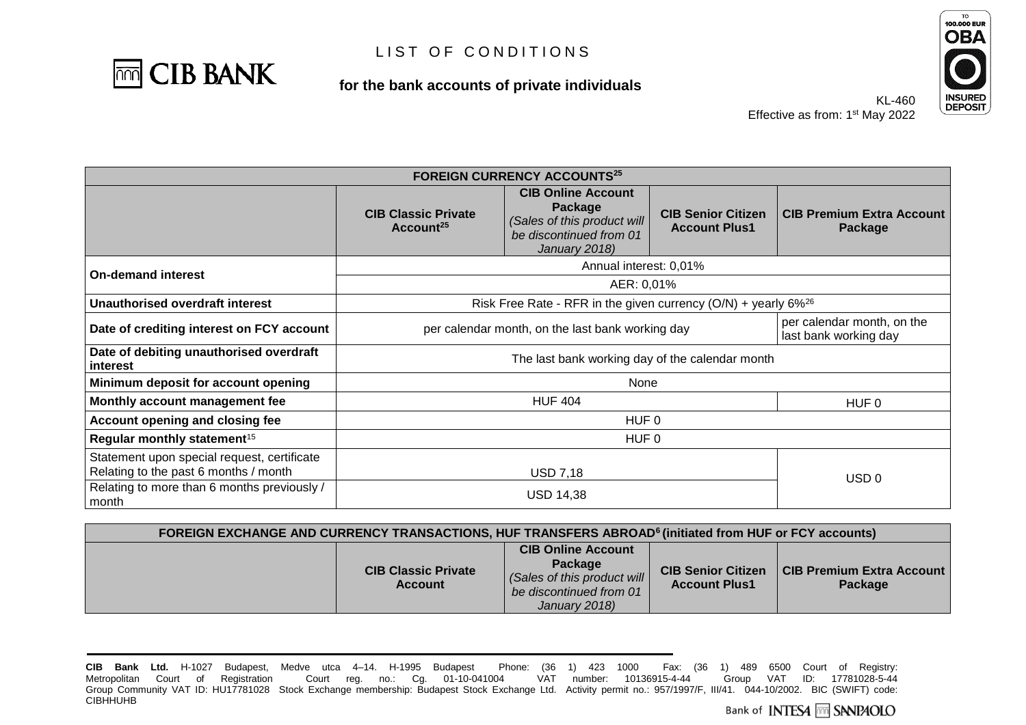

### **for the bank accounts of private individuals**



KL-460 Effective as from: 1<sup>st</sup> May 2022

| <b>FOREIGN CURRENCY ACCOUNTS25</b>                                                   |                                                                              |                                                                                                                 |                                                   |                                             |
|--------------------------------------------------------------------------------------|------------------------------------------------------------------------------|-----------------------------------------------------------------------------------------------------------------|---------------------------------------------------|---------------------------------------------|
|                                                                                      | <b>CIB Classic Private</b><br>Account <sup>25</sup>                          | <b>CIB Online Account</b><br>Package<br>(Sales of this product will<br>be discontinued from 01<br>January 2018) | <b>CIB Senior Citizen</b><br><b>Account Plus1</b> | <b>CIB Premium Extra Account</b><br>Package |
| <b>On-demand interest</b>                                                            |                                                                              | Annual interest: 0,01%                                                                                          |                                                   |                                             |
|                                                                                      |                                                                              | AER: 0,01%                                                                                                      |                                                   |                                             |
| Unauthorised overdraft interest                                                      | Risk Free Rate - RFR in the given currency $(O/N)$ + yearly 6% <sup>26</sup> |                                                                                                                 |                                                   |                                             |
| Date of crediting interest on FCY account                                            | per calendar month, on the last bank working day<br>last bank working day    |                                                                                                                 |                                                   | per calendar month, on the                  |
| Date of debiting unauthorised overdraft<br>interest                                  | The last bank working day of the calendar month                              |                                                                                                                 |                                                   |                                             |
| Minimum deposit for account opening                                                  | None                                                                         |                                                                                                                 |                                                   |                                             |
| Monthly account management fee                                                       | <b>HUF 404</b><br>HUF <sub>0</sub>                                           |                                                                                                                 |                                                   |                                             |
| Account opening and closing fee                                                      | HUF 0                                                                        |                                                                                                                 |                                                   |                                             |
| Regular monthly statement <sup>15</sup>                                              | HUF 0                                                                        |                                                                                                                 |                                                   |                                             |
| Statement upon special request, certificate<br>Relating to the past 6 months / month |                                                                              | <b>USD 7,18</b>                                                                                                 |                                                   | USD <sub>0</sub>                            |
| Relating to more than 6 months previously /<br>month                                 |                                                                              | <b>USD 14,38</b>                                                                                                |                                                   |                                             |

| FOREIGN EXCHANGE AND CURRENCY TRANSACTIONS, HUF TRANSFERS ABROAD <sup>6</sup> (initiated from HUF or FCY accounts) |                                              |                                                                                                                 |                                                   |                                        |
|--------------------------------------------------------------------------------------------------------------------|----------------------------------------------|-----------------------------------------------------------------------------------------------------------------|---------------------------------------------------|----------------------------------------|
|                                                                                                                    | <b>CIB Classic Private</b><br><b>Account</b> | <b>CIB Online Account</b><br>Package<br>(Sales of this product will<br>be discontinued from 01<br>January 2018) | <b>CIB Senior Citizen</b><br><b>Account Plus1</b> | CIB Premium Extra Account  <br>Package |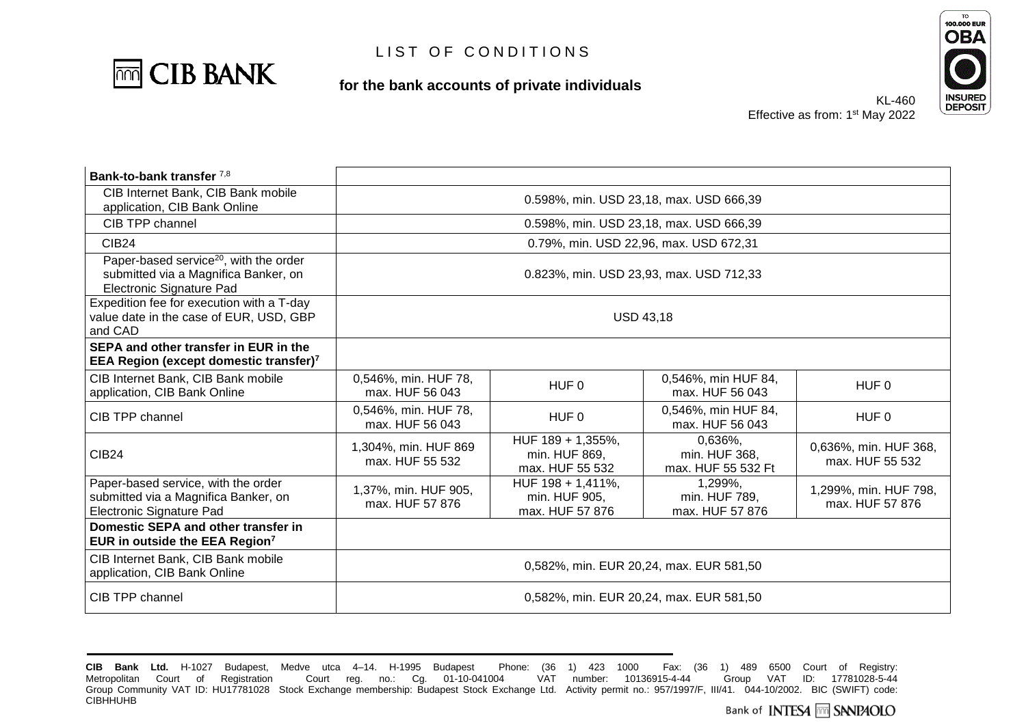

**for the bank accounts of private individuals**



| Bank-to-bank transfer 7,8                                                                                              |                                         |                                                       |                                                |                                          |
|------------------------------------------------------------------------------------------------------------------------|-----------------------------------------|-------------------------------------------------------|------------------------------------------------|------------------------------------------|
| CIB Internet Bank, CIB Bank mobile<br>application, CIB Bank Online                                                     | 0.598%, min. USD 23,18, max. USD 666,39 |                                                       |                                                |                                          |
| CIB TPP channel                                                                                                        |                                         |                                                       | 0.598%, min. USD 23,18, max. USD 666,39        |                                          |
| <b>CIB24</b>                                                                                                           |                                         |                                                       | 0.79%, min. USD 22,96, max. USD 672,31         |                                          |
| Paper-based service <sup>20</sup> , with the order<br>submitted via a Magnifica Banker, on<br>Electronic Signature Pad |                                         |                                                       | 0.823%, min. USD 23,93, max. USD 712,33        |                                          |
| Expedition fee for execution with a T-day<br>value date in the case of EUR, USD, GBP<br>and CAD                        | <b>USD 43,18</b>                        |                                                       |                                                |                                          |
| SEPA and other transfer in EUR in the<br><b>EEA Region (except domestic transfer)</b> 7                                |                                         |                                                       |                                                |                                          |
| CIB Internet Bank, CIB Bank mobile<br>application, CIB Bank Online                                                     | 0,546%, min. HUF 78,<br>max. HUF 56 043 | HUF <sub>0</sub>                                      | 0,546%, min HUF 84,<br>max. HUF 56 043         | HUF <sub>0</sub>                         |
| CIB TPP channel                                                                                                        | 0,546%, min. HUF 78,<br>max. HUF 56 043 | HUF <sub>0</sub>                                      | 0,546%, min HUF 84,<br>max. HUF 56 043         | HUF <sub>0</sub>                         |
| <b>CIB24</b>                                                                                                           | 1,304%, min. HUF 869<br>max. HUF 55 532 | HUF 189 + 1,355%,<br>min. HUF 869,<br>max. HUF 55 532 | 0.636%,<br>min. HUF 368,<br>max. HUF 55 532 Ft | 0,636%, min. HUF 368,<br>max. HUF 55 532 |
| Paper-based service, with the order<br>submitted via a Magnifica Banker, on<br>Electronic Signature Pad                | 1,37%, min. HUF 905,<br>max. HUF 57 876 | HUF 198 + 1,411%,<br>min. HUF 905,<br>max. HUF 57 876 | 1,299%,<br>min. HUF 789,<br>max. HUF 57 876    | 1,299%, min. HUF 798,<br>max. HUF 57 876 |
| Domestic SEPA and other transfer in<br>EUR in outside the EEA Region <sup>7</sup>                                      |                                         |                                                       |                                                |                                          |
| CIB Internet Bank, CIB Bank mobile<br>application, CIB Bank Online                                                     | 0,582%, min. EUR 20,24, max. EUR 581,50 |                                                       |                                                |                                          |
| CIB TPP channel                                                                                                        | 0,582%, min. EUR 20,24, max. EUR 581,50 |                                                       |                                                |                                          |

**CIB Bank Ltd.** H-1027 Budapest, Medve utca 4–14. H-1995 Budapest Phone: (36 1) 423 1000 Fax: (36 1) 489 6500 Court of Registry: Metropolitan Court of Registration Court reg. no.: Cg. 01-10-041004 Group Community VAT ID: HU17781028 Stock Exchange membership: Budapest Stock Exchange Ltd. Activity permit no.: 957/1997/F, III/41. 044-10/2002. BIC (SWIFT) code: **CIBHHUHB**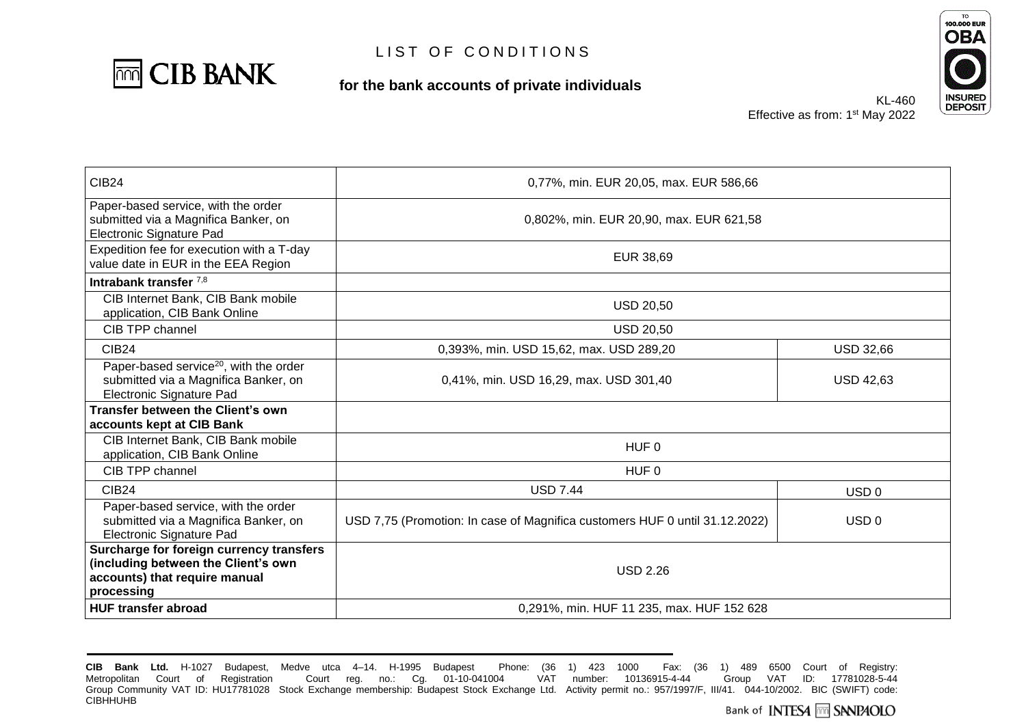

**for the bank accounts of private individuals**



| <b>CIB24</b>                                                                                                                   | 0,77%, min. EUR 20,05, max. EUR 586,66                                      |                  |  |
|--------------------------------------------------------------------------------------------------------------------------------|-----------------------------------------------------------------------------|------------------|--|
| Paper-based service, with the order<br>submitted via a Magnifica Banker, on<br>Electronic Signature Pad                        | 0,802%, min. EUR 20,90, max. EUR 621,58                                     |                  |  |
| Expedition fee for execution with a T-day<br>value date in EUR in the EEA Region                                               | EUR 38,69                                                                   |                  |  |
| Intrabank transfer $7,8$                                                                                                       |                                                                             |                  |  |
| CIB Internet Bank, CIB Bank mobile<br>application, CIB Bank Online                                                             | <b>USD 20,50</b>                                                            |                  |  |
| CIB TPP channel                                                                                                                | <b>USD 20,50</b>                                                            |                  |  |
| <b>CIB24</b>                                                                                                                   | 0,393%, min. USD 15,62, max. USD 289,20                                     | <b>USD 32,66</b> |  |
| Paper-based service <sup>20</sup> , with the order<br>submitted via a Magnifica Banker, on<br><b>Electronic Signature Pad</b>  | 0,41%, min. USD 16,29, max. USD 301,40                                      | <b>USD 42,63</b> |  |
| Transfer between the Client's own<br>accounts kept at CIB Bank                                                                 |                                                                             |                  |  |
| CIB Internet Bank, CIB Bank mobile<br>application, CIB Bank Online                                                             | HUF <sub>0</sub>                                                            |                  |  |
| CIB TPP channel                                                                                                                | HUF 0                                                                       |                  |  |
| CIB <sub>24</sub>                                                                                                              | <b>USD 7.44</b>                                                             | USD <sub>0</sub> |  |
| Paper-based service, with the order<br>submitted via a Magnifica Banker, on<br>Electronic Signature Pad                        | USD 7,75 (Promotion: In case of Magnifica customers HUF 0 until 31.12.2022) | USD <sub>0</sub> |  |
| Surcharge for foreign currency transfers<br>(including between the Client's own<br>accounts) that require manual<br>processing | <b>USD 2.26</b>                                                             |                  |  |
| <b>HUF transfer abroad</b>                                                                                                     | 0,291%, min. HUF 11 235, max. HUF 152 628                                   |                  |  |

**CIB Bank Ltd.** H-1027 Budapest, Medve utca 4–14. H-1995 Budapest Phone: (36 1) 423 1000 Fax: (36 1) 489 6500 Court of Registry: Metropolitan Court of Registration Court reg. no.: Cg. 01-10-041004 Group Community VAT ID: HU17781028 Stock Exchange membership: Budapest Stock Exchange Ltd. Activity permit no.: 957/1997/F, III/41. 044-10/2002. BIC (SWIFT) code: **CIBHHUHB**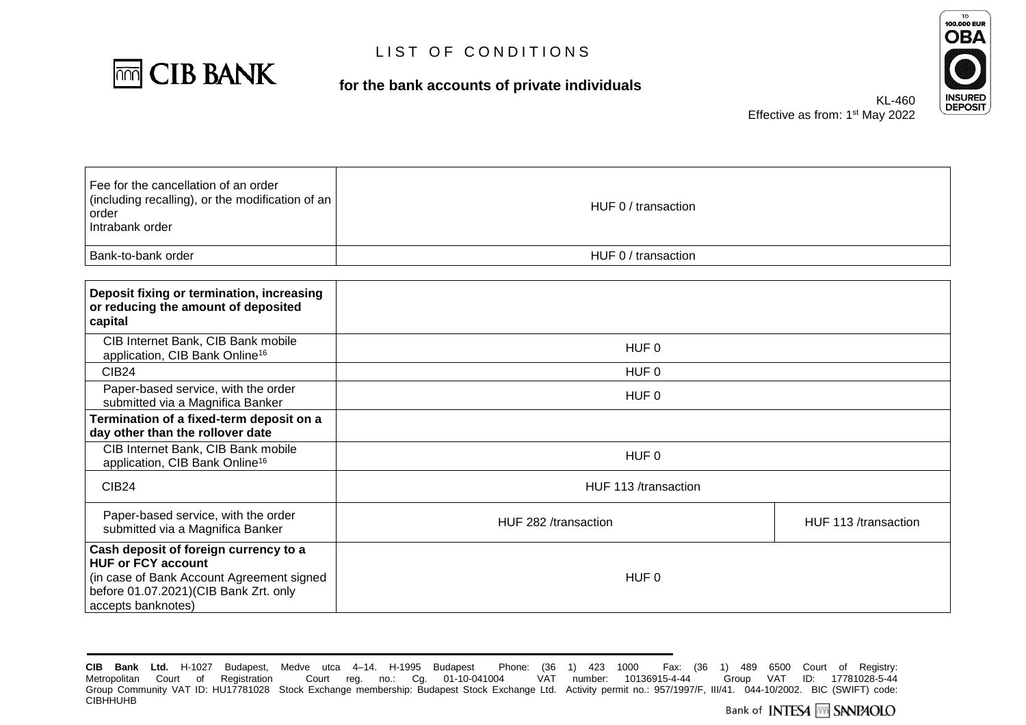

#### **for the bank accounts of private individuals**



KL-460 Effective as from: 1<sup>st</sup> May 2022

| Fee for the cancellation of an order<br>(including recalling), or the modification of an<br>order<br>l Intrabank order | HUF 0 / transaction |
|------------------------------------------------------------------------------------------------------------------------|---------------------|
| Bank-to-bank order                                                                                                     | HUF 0 / transaction |

| Deposit fixing or termination, increasing<br>or reducing the amount of deposited<br>capital                                                                                    |                      |                      |
|--------------------------------------------------------------------------------------------------------------------------------------------------------------------------------|----------------------|----------------------|
| CIB Internet Bank, CIB Bank mobile<br>application, CIB Bank Online <sup>16</sup>                                                                                               | HUF 0                |                      |
| CIB <sub>24</sub>                                                                                                                                                              | HUF 0                |                      |
| Paper-based service, with the order<br>submitted via a Magnifica Banker                                                                                                        | HUF 0                |                      |
| Termination of a fixed-term deposit on a<br>day other than the rollover date                                                                                                   |                      |                      |
| CIB Internet Bank, CIB Bank mobile<br>application, CIB Bank Online <sup>16</sup>                                                                                               | HUF 0                |                      |
| CIB <sub>24</sub>                                                                                                                                                              | HUF 113 /transaction |                      |
| Paper-based service, with the order<br>submitted via a Magnifica Banker                                                                                                        | HUF 282 /transaction | HUF 113 /transaction |
| Cash deposit of foreign currency to a<br><b>HUF or FCY account</b><br>(in case of Bank Account Agreement signed<br>before 01.07.2021)(CIB Bank Zrt. only<br>accepts banknotes) | HUF 0                |                      |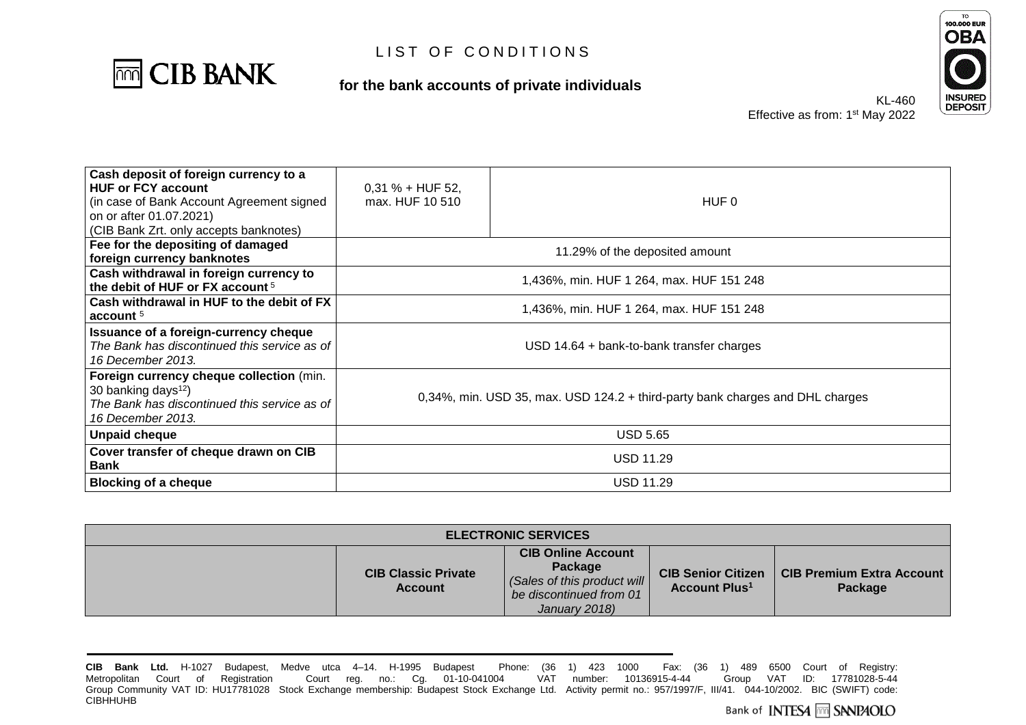

**for the bank accounts of private individuals**



KL-460 Effective as from: 1<sup>st</sup> May 2022

| Cash deposit of foreign currency to a<br><b>HUF or FCY account</b><br>(in case of Bank Account Agreement signed<br>on or after 01.07.2021)<br>(CIB Bank Zrt. only accepts banknotes) | $0,31% + HUF 52,$<br>max. HUF 10 510                                          | HUF 0                                    |  |
|--------------------------------------------------------------------------------------------------------------------------------------------------------------------------------------|-------------------------------------------------------------------------------|------------------------------------------|--|
| Fee for the depositing of damaged<br>foreign currency banknotes                                                                                                                      |                                                                               | 11.29% of the deposited amount           |  |
| Cash withdrawal in foreign currency to<br>the debit of HUF or FX account <sup>5</sup>                                                                                                |                                                                               | 1,436%, min. HUF 1 264, max. HUF 151 248 |  |
| Cash withdrawal in HUF to the debit of FX<br>account $5$                                                                                                                             | 1,436%, min. HUF 1 264, max. HUF 151 248                                      |                                          |  |
| Issuance of a foreign-currency cheque<br>The Bank has discontinued this service as of<br>16 December 2013.                                                                           | $USD$ 14.64 + bank-to-bank transfer charges                                   |                                          |  |
| Foreign currency cheque collection (min.<br>30 banking days $12$ )<br>The Bank has discontinued this service as of<br>16 December 2013.                                              | 0,34%, min. USD 35, max. USD 124.2 + third-party bank charges and DHL charges |                                          |  |
| <b>Unpaid cheque</b>                                                                                                                                                                 | <b>USD 5.65</b>                                                               |                                          |  |
| Cover transfer of cheque drawn on CIB<br><b>Bank</b>                                                                                                                                 | <b>USD 11.29</b>                                                              |                                          |  |
| <b>Blocking of a cheque</b>                                                                                                                                                          | <b>USD 11.29</b>                                                              |                                          |  |

| <b>ELECTRONIC SERVICES</b> |                                              |                                                                                                                 |                                                              |                                             |
|----------------------------|----------------------------------------------|-----------------------------------------------------------------------------------------------------------------|--------------------------------------------------------------|---------------------------------------------|
|                            | <b>CIB Classic Private</b><br><b>Account</b> | <b>CIB Online Account</b><br>Package<br>(Sales of this product will<br>be discontinued from 01<br>January 2018) | <b>CIB Senior Citizen</b><br><b>Account Plus<sup>1</sup></b> | <b>CIB Premium Extra Account</b><br>Package |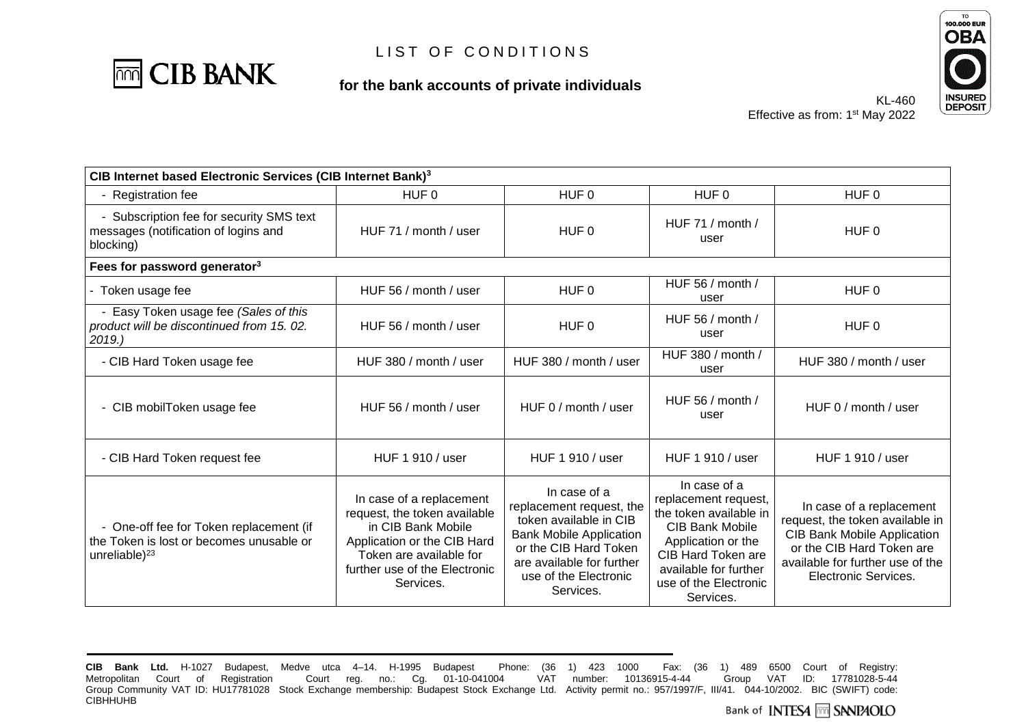

**for the bank accounts of private individuals**



KL-460 Effective as from: 1<sup>st</sup> May 2022

| CIB Internet based Electronic Services (CIB Internet Bank) <sup>3</sup>                                    |                                                                                                                                                                                        |                                                                                                                                                                                                  |                                                                                                                                                                                                            |                                                                                                                                                                                            |
|------------------------------------------------------------------------------------------------------------|----------------------------------------------------------------------------------------------------------------------------------------------------------------------------------------|--------------------------------------------------------------------------------------------------------------------------------------------------------------------------------------------------|------------------------------------------------------------------------------------------------------------------------------------------------------------------------------------------------------------|--------------------------------------------------------------------------------------------------------------------------------------------------------------------------------------------|
| - Registration fee                                                                                         | HUF <sub>0</sub>                                                                                                                                                                       | HUF <sub>0</sub>                                                                                                                                                                                 | HUF <sub>0</sub>                                                                                                                                                                                           | HUF <sub>0</sub>                                                                                                                                                                           |
| - Subscription fee for security SMS text<br>messages (notification of logins and<br>blocking)              | HUF 71 / month / user                                                                                                                                                                  | HUF 0                                                                                                                                                                                            | HUF 71 / month /<br>user                                                                                                                                                                                   | HUF 0                                                                                                                                                                                      |
| Fees for password generator <sup>3</sup>                                                                   |                                                                                                                                                                                        |                                                                                                                                                                                                  |                                                                                                                                                                                                            |                                                                                                                                                                                            |
| - Token usage fee                                                                                          | HUF 56 / month / user                                                                                                                                                                  | HUF <sub>0</sub>                                                                                                                                                                                 | HUF 56 / month /<br>user                                                                                                                                                                                   | HUF <sub>0</sub>                                                                                                                                                                           |
| - Easy Token usage fee (Sales of this<br>product will be discontinued from 15.02.<br>2019.                 | HUF 56 / month / user                                                                                                                                                                  | HUF 0                                                                                                                                                                                            | HUF 56 / month /<br>user                                                                                                                                                                                   | HUF 0                                                                                                                                                                                      |
| - CIB Hard Token usage fee                                                                                 | HUF 380 / month / user                                                                                                                                                                 | HUF 380 / month / user                                                                                                                                                                           | HUF 380 / month /<br>user                                                                                                                                                                                  | HUF 380 / month / user                                                                                                                                                                     |
| - CIB mobilToken usage fee                                                                                 | HUF 56 / month / user                                                                                                                                                                  | HUF 0 / month / user                                                                                                                                                                             | HUF 56 / month /<br>user                                                                                                                                                                                   | HUF 0 / month / user                                                                                                                                                                       |
| - CIB Hard Token request fee                                                                               | HUF 1 910 / user                                                                                                                                                                       | HUF 1 910 / user                                                                                                                                                                                 | HUF 1 910 / user                                                                                                                                                                                           | HUF 1 910 / user                                                                                                                                                                           |
| - One-off fee for Token replacement (if<br>the Token is lost or becomes unusable or<br>unreliable $)^{23}$ | In case of a replacement<br>request, the token available<br>in CIB Bank Mobile<br>Application or the CIB Hard<br>Token are available for<br>further use of the Electronic<br>Services. | In case of a<br>replacement request, the<br>token available in CIB<br><b>Bank Mobile Application</b><br>or the CIB Hard Token<br>are available for further<br>use of the Electronic<br>Services. | In case of a<br>replacement request,<br>the token available in<br><b>CIB Bank Mobile</b><br>Application or the<br><b>CIB Hard Token are</b><br>available for further<br>use of the Electronic<br>Services. | In case of a replacement<br>request, the token available in<br><b>CIB Bank Mobile Application</b><br>or the CIB Hard Token are<br>available for further use of the<br>Electronic Services. |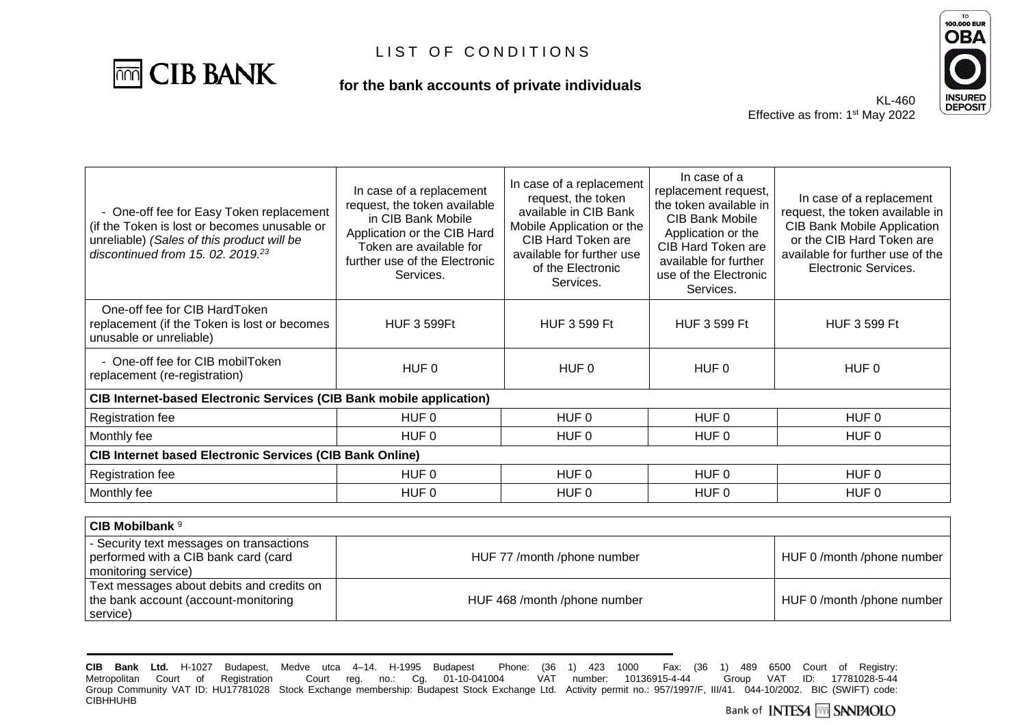

**for the bank accounts of private individuals**



| In case of a replacement<br>request, the token available<br>in CIB Bank Mobile<br>Application or the CIB Hard<br>Token are available for<br>further use of the Electronic<br>Services. | In case of a replacement<br>request, the token<br>available in CIB Bank<br>Mobile Application or the<br>CIB Hard Token are<br>available for further use<br>of the Electronic<br>Services. | In case of a<br>replacement request,<br>the token available in<br><b>CIB Bank Mobile</b><br>Application or the<br>CIB Hard Token are<br>available for further<br>use of the Electronic<br>Services. | In case of a replacement<br>request, the token available in<br><b>CIB Bank Mobile Application</b><br>or the CIB Hard Token are<br>available for further use of the<br>Electronic Services. |  |
|----------------------------------------------------------------------------------------------------------------------------------------------------------------------------------------|-------------------------------------------------------------------------------------------------------------------------------------------------------------------------------------------|-----------------------------------------------------------------------------------------------------------------------------------------------------------------------------------------------------|--------------------------------------------------------------------------------------------------------------------------------------------------------------------------------------------|--|
| <b>HUF 3 599Ft</b>                                                                                                                                                                     | <b>HUF 3 599 Ft</b>                                                                                                                                                                       | <b>HUF 3 599 Ft</b>                                                                                                                                                                                 | <b>HUF 3 599 Ft</b>                                                                                                                                                                        |  |
| HUF 0                                                                                                                                                                                  | HUF 0                                                                                                                                                                                     | HUF 0                                                                                                                                                                                               | HUF 0                                                                                                                                                                                      |  |
| CIB Internet-based Electronic Services (CIB Bank mobile application)                                                                                                                   |                                                                                                                                                                                           |                                                                                                                                                                                                     |                                                                                                                                                                                            |  |
| HUF 0                                                                                                                                                                                  | HUF 0                                                                                                                                                                                     | HUF 0                                                                                                                                                                                               | HUF 0                                                                                                                                                                                      |  |
| HUF 0                                                                                                                                                                                  | HUF 0                                                                                                                                                                                     | HUF 0                                                                                                                                                                                               | HUF 0                                                                                                                                                                                      |  |
| <b>CIB Internet based Electronic Services (CIB Bank Online)</b>                                                                                                                        |                                                                                                                                                                                           |                                                                                                                                                                                                     |                                                                                                                                                                                            |  |
| HUF 0                                                                                                                                                                                  | HUF 0                                                                                                                                                                                     | HUF 0                                                                                                                                                                                               | HUF 0                                                                                                                                                                                      |  |
| HUF 0                                                                                                                                                                                  | HUF 0                                                                                                                                                                                     | HUF <sub>0</sub>                                                                                                                                                                                    | HUF 0                                                                                                                                                                                      |  |
|                                                                                                                                                                                        |                                                                                                                                                                                           |                                                                                                                                                                                                     |                                                                                                                                                                                            |  |

| CIB Mobilbank <sup>9</sup>                                                                              |                              |                          |
|---------------------------------------------------------------------------------------------------------|------------------------------|--------------------------|
| - Security text messages on transactions<br>performed with a CIB bank card (card<br>monitoring service) | HUF 77 /month /phone number  | HUF 0/month/phone number |
| Text messages about debits and credits on<br>the bank account (account-monitoring<br>service)           | HUF 468 /month /phone number | HUF 0/month/phone number |

**CIB Bank Ltd.** H-1027 Budapest, Medve utca 4–14. H-1995 Budapest Phone: (36 1) 423 1000 Fax: (36 1) 489 6500 Court of Registry: Metropolitan Court of Registration Court reg. no.: Cg. 01-10-041004 Group Community VAT ID: HU17781028 Stock Exchange membership: Budapest Stock Exchange Ltd. Activity permit no.: 957/1997/F, III/41. 044-10/2002. BIC (SWIFT) code: **CIBHHUHB**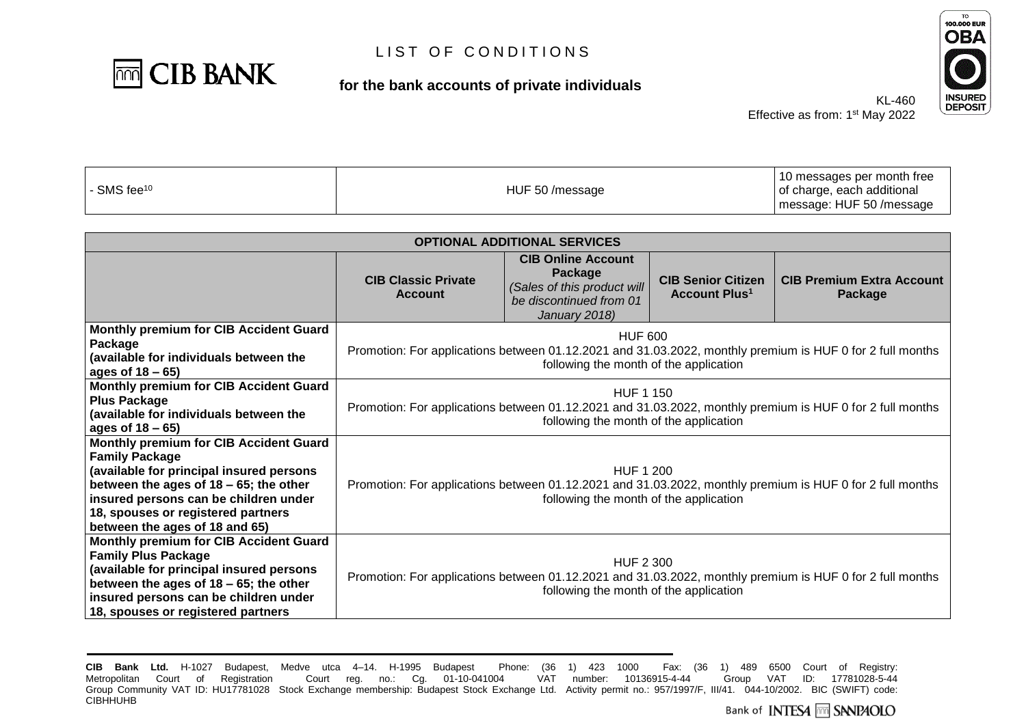

#### **for the bank accounts of private individuals**



Effective as from: 1<sup>st</sup> May 2022

KL-460

| - SMS fee <sup>10</sup> | HUF 50 /message | 10 messages per month free<br>of charge, each additional |
|-------------------------|-----------------|----------------------------------------------------------|
|                         |                 | message: HUF 50 / message                                |

| <b>OPTIONAL ADDITIONAL SERVICES</b>                                                                                                                                                                                                                                       |                                                                                                                                                                         |                                                                                                                 |                                                              |                                             |
|---------------------------------------------------------------------------------------------------------------------------------------------------------------------------------------------------------------------------------------------------------------------------|-------------------------------------------------------------------------------------------------------------------------------------------------------------------------|-----------------------------------------------------------------------------------------------------------------|--------------------------------------------------------------|---------------------------------------------|
|                                                                                                                                                                                                                                                                           | <b>CIB Classic Private</b><br><b>Account</b>                                                                                                                            | <b>CIB Online Account</b><br>Package<br>(Sales of this product will<br>be discontinued from 01<br>January 2018) | <b>CIB Senior Citizen</b><br><b>Account Plus<sup>1</sup></b> | <b>CIB Premium Extra Account</b><br>Package |
| <b>Monthly premium for CIB Accident Guard</b><br>Package<br>(available for individuals between the<br>ages of 18 – 65)                                                                                                                                                    | HUF 600<br>Promotion: For applications between 01.12.2021 and 31.03.2022, monthly premium is HUF 0 for 2 full months<br>following the month of the application          |                                                                                                                 |                                                              |                                             |
| Monthly premium for CIB Accident Guard<br><b>Plus Package</b><br>(available for individuals between the<br>ages of 18 – 65)                                                                                                                                               | <b>HUF 1 150</b><br>Promotion: For applications between 01.12.2021 and 31.03.2022, monthly premium is HUF 0 for 2 full months<br>following the month of the application |                                                                                                                 |                                                              |                                             |
| Monthly premium for CIB Accident Guard<br><b>Family Package</b><br>(available for principal insured persons<br>between the ages of $18 - 65$ ; the other<br>insured persons can be children under<br>18, spouses or registered partners<br>between the ages of 18 and 65) | <b>HUF 1 200</b><br>Promotion: For applications between 01.12.2021 and 31.03.2022, monthly premium is HUF 0 for 2 full months<br>following the month of the application |                                                                                                                 |                                                              |                                             |
| <b>Monthly premium for CIB Accident Guard</b><br><b>Family Plus Package</b><br>(available for principal insured persons<br>between the ages of $18 - 65$ ; the other<br>insured persons can be children under<br>18, spouses or registered partners                       | HUF 2 300<br>Promotion: For applications between 01.12.2021 and 31.03.2022, monthly premium is HUF 0 for 2 full months<br>following the month of the application        |                                                                                                                 |                                                              |                                             |

**CIB Bank Ltd.** H-1027 Budapest, Medve utca 4–14. H-1995 Budapest Phone: (36 1) 423 1000 Fax: (36 1) 489 6500 Court of Registry: Metropolitan Court of Registration Court reg. no.: Cg. 01-10-041004 Group Community VAT ID: HU17781028 Stock Exchange membership: Budapest Stock Exchange Ltd. Activity permit no.: 957/1997/F, III/41. 044-10/2002. BIC (SWIFT) code: **CIBHHUHB**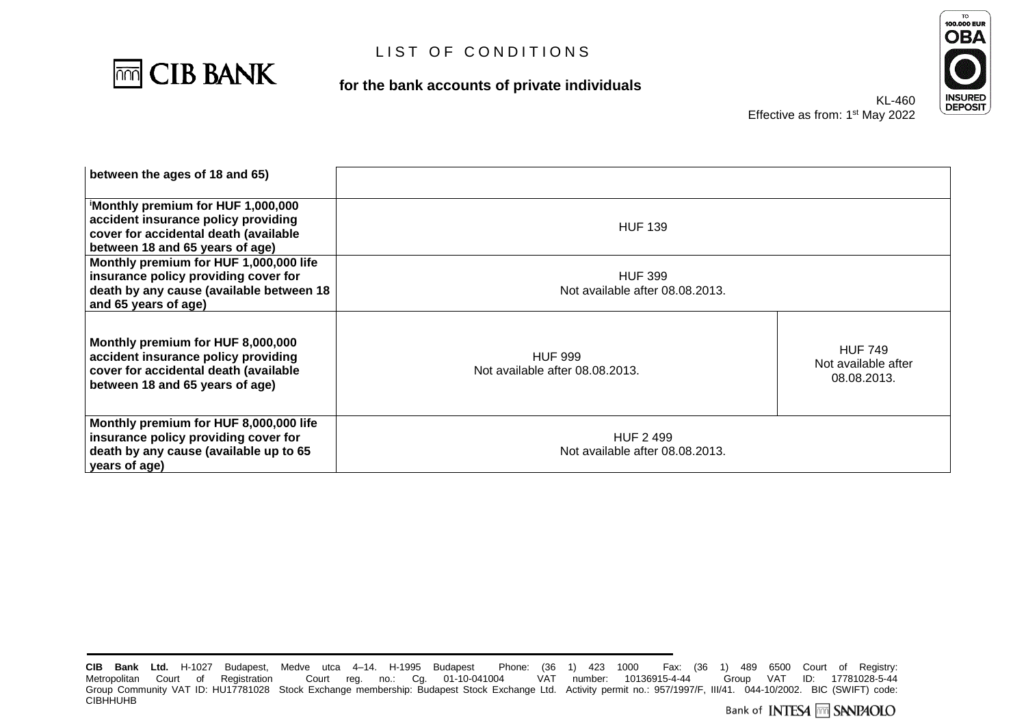

**for the bank accounts of private individuals**



Effective as

| KL-460               |  |
|----------------------|--|
| s from: 1st May 2022 |  |

| between the ages of 18 and 65)                                                                                                                       |                                                    |                                                      |
|------------------------------------------------------------------------------------------------------------------------------------------------------|----------------------------------------------------|------------------------------------------------------|
| Monthly premium for HUF 1,000,000<br>accident insurance policy providing<br>cover for accidental death (available<br>between 18 and 65 years of age) | <b>HUF 139</b>                                     |                                                      |
| Monthly premium for HUF 1,000,000 life<br>insurance policy providing cover for<br>death by any cause (available between 18<br>and 65 years of age)   | <b>HUF 399</b><br>Not available after 08.08.2013.  |                                                      |
| Monthly premium for HUF 8,000,000<br>accident insurance policy providing<br>cover for accidental death (available<br>between 18 and 65 years of age) | <b>HUF 999</b><br>Not available after 08.08.2013.  | <b>HUF 749</b><br>Not available after<br>08.08.2013. |
| Monthly premium for HUF 8,000,000 life<br>insurance policy providing cover for<br>death by any cause (available up to 65<br>years of age)            | <b>HUF 2499</b><br>Not available after 08.08.2013. |                                                      |

**CIB Bank Ltd.** H-1027 Budapest, Medve utca 4–14. H-1995 Budapest Phone: (36 1) 423 1000 Fax:<br>Metropolitan Court of Registration Court reg. no.: Cg. 01-10-041004 VAT number: 10136915-4-44 CIB Bank Ltd. H-1027 Budapest, Medve utca 4–14. H-1995 Budapest Phone: (36 1) 423 1000 Fax: (36 1) 489 6500 Court of Registry:<br>Metropolitan Court of Registration Court reg. no.: Cg. 01-10-041004 VAT number: 10136915-4-44 G Group Community VAT ID: HU17781028 Stock Exchange membership: Budapest Stock Exchange Ltd. Activity permit no.: 957/1997/F, III/41. 044-10/2002. BIC (SWIFT) code: **CIBHHUHB**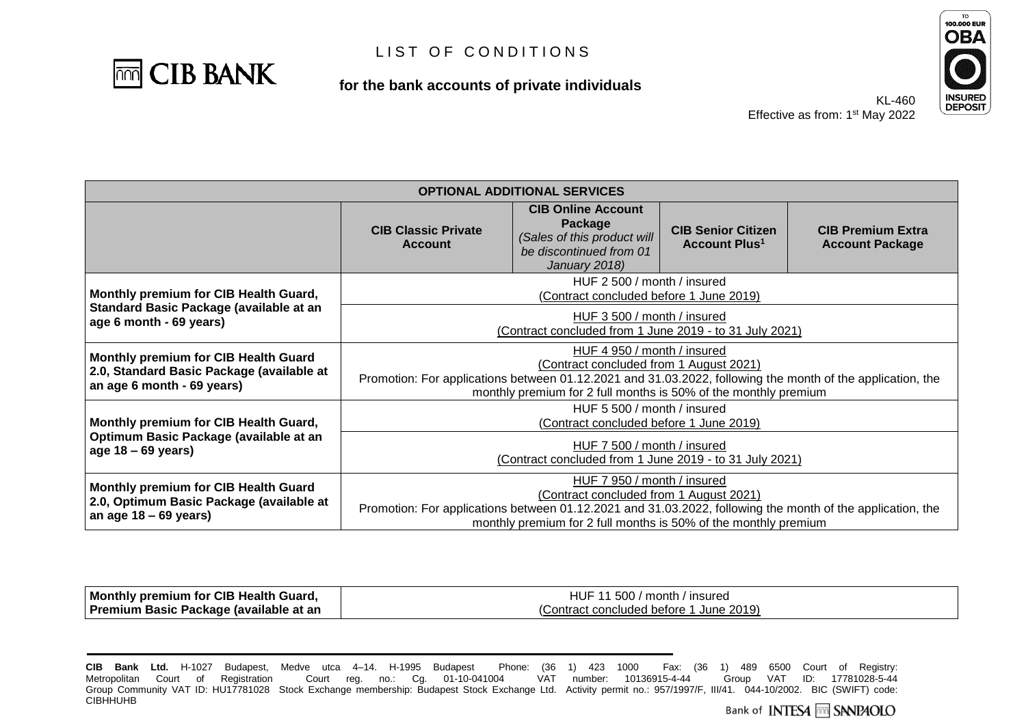

**for the bank accounts of private individuals**



KL-460 Effective as from: 1<sup>st</sup> May 2022

| <b>OPTIONAL ADDITIONAL SERVICES</b>                                                                                    |                                                                                                                                                                                                                                                         |                                                                                                                                           |                                                              |                                                                                                            |
|------------------------------------------------------------------------------------------------------------------------|---------------------------------------------------------------------------------------------------------------------------------------------------------------------------------------------------------------------------------------------------------|-------------------------------------------------------------------------------------------------------------------------------------------|--------------------------------------------------------------|------------------------------------------------------------------------------------------------------------|
|                                                                                                                        | <b>CIB Classic Private</b><br><b>Account</b>                                                                                                                                                                                                            | <b>CIB Online Account</b><br>Package<br>(Sales of this product will<br>be discontinued from 01<br>January 2018)                           | <b>CIB Senior Citizen</b><br><b>Account Plus<sup>1</sup></b> | <b>CIB Premium Extra</b><br><b>Account Package</b>                                                         |
| Monthly premium for CIB Health Guard,                                                                                  |                                                                                                                                                                                                                                                         | HUF 2 500 / month / insured<br>(Contract concluded before 1 June 2019)                                                                    |                                                              |                                                                                                            |
| Standard Basic Package (available at an<br>age 6 month - 69 years)                                                     | HUF 3 500 / month / insured<br>(Contract concluded from 1 June 2019 - to 31 July 2021)                                                                                                                                                                  |                                                                                                                                           |                                                              |                                                                                                            |
| <b>Monthly premium for CIB Health Guard</b><br>2.0, Standard Basic Package (available at<br>an age 6 month - 69 years) | HUF 4 950 / month / insured<br>(Contract concluded from 1 August 2021)<br>Promotion: For applications between 01.12.2021 and 31.03.2022, following the month of the application, the<br>monthly premium for 2 full months is 50% of the monthly premium |                                                                                                                                           |                                                              |                                                                                                            |
| Monthly premium for CIB Health Guard,                                                                                  | HUF 5 500 / month / insured<br>(Contract concluded before 1 June 2019)                                                                                                                                                                                  |                                                                                                                                           |                                                              |                                                                                                            |
| Optimum Basic Package (available at an<br>age $18 - 69$ years)                                                         | HUF 7 500 / month / insured<br>(Contract concluded from 1 June 2019 - to 31 July 2021)                                                                                                                                                                  |                                                                                                                                           |                                                              |                                                                                                            |
| Monthly premium for CIB Health Guard<br>2.0, Optimum Basic Package (available at<br>an age $18 - 69$ years)            |                                                                                                                                                                                                                                                         | HUF 7 950 / month / insured<br>(Contract concluded from 1 August 2021)<br>monthly premium for 2 full months is 50% of the monthly premium |                                                              | Promotion: For applications between 01.12.2021 and 31.03.2022, following the month of the application, the |

| Monthly premium for CIB Health Guard,  | 1500 / month / insured<br>HUF             |
|----------------------------------------|-------------------------------------------|
| Premium Basic Package (available at an | June 2019)<br>Contract concluded before 1 |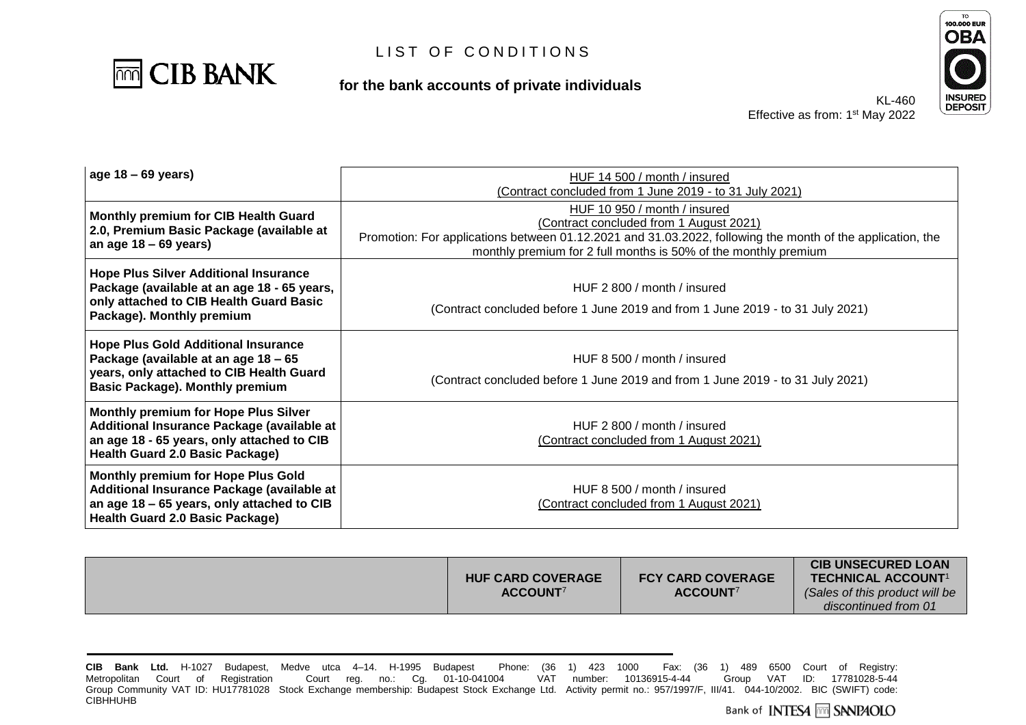

**for the bank accounts of private individuals**



| $ age 18 - 69 years $                                                                                                                                                             | HUF 14 500 / month / insured                                                                                                                                                  |  |
|-----------------------------------------------------------------------------------------------------------------------------------------------------------------------------------|-------------------------------------------------------------------------------------------------------------------------------------------------------------------------------|--|
|                                                                                                                                                                                   | (Contract concluded from 1 June 2019 - to 31 July 2021)                                                                                                                       |  |
| Monthly premium for CIB Health Guard<br>2.0, Premium Basic Package (available at                                                                                                  | HUF 10 950 / month / insured<br>(Contract concluded from 1 August 2021)                                                                                                       |  |
| an age $18 - 69$ years)                                                                                                                                                           | Promotion: For applications between 01.12.2021 and 31.03.2022, following the month of the application, the<br>monthly premium for 2 full months is 50% of the monthly premium |  |
| <b>Hope Plus Silver Additional Insurance</b><br>Package (available at an age 18 - 65 years,<br>only attached to CIB Health Guard Basic<br>Package). Monthly premium               | HUF 2 800 / month / insured<br>(Contract concluded before 1 June 2019 and from 1 June 2019 - to 31 July 2021)                                                                 |  |
| <b>Hope Plus Gold Additional Insurance</b><br>Package (available at an age 18 - 65<br>years, only attached to CIB Health Guard<br><b>Basic Package). Monthly premium</b>          | HUF 8 500 / month / insured<br>(Contract concluded before 1 June 2019 and from 1 June 2019 - to 31 July 2021)                                                                 |  |
| <b>Monthly premium for Hope Plus Silver</b><br>Additional Insurance Package (available at<br>an age 18 - 65 years, only attached to CIB<br><b>Health Guard 2.0 Basic Package)</b> | HUF 2 800 / month / insured<br>(Contract concluded from 1 August 2021)                                                                                                        |  |
| Monthly premium for Hope Plus Gold<br>Additional Insurance Package (available at<br>an age 18 - 65 years, only attached to CIB<br><b>Health Guard 2.0 Basic Package)</b>          | HUF 8.500 / month / insured<br>(Contract concluded from 1 August 2021)                                                                                                        |  |

| <b>HUF CARD COVERAGE</b><br>ACCOUNT <sup>7</sup> | <b>FCY CARD COVERAGE</b><br>ACCOUNT <sup>7</sup> | <b>CIB UNSECURED LOAN</b><br>TECHNICAL ACCOUNT <sup>1</sup><br>(Sales of this product will be<br>discontinued from 01 |
|--------------------------------------------------|--------------------------------------------------|-----------------------------------------------------------------------------------------------------------------------|
|--------------------------------------------------|--------------------------------------------------|-----------------------------------------------------------------------------------------------------------------------|

**CIB Bank Ltd.** H-1027 Budapest, Medve utca 4–14. H-1995 Budapest Phone: (36 1) 423 1000 Fax: (36 1) 489 6500 Court of Registry: Metropolitan Court of Registration Court reg. no.: Cg. 01-10-041004 Group Community VAT ID: HU17781028 Stock Exchange membership: Budapest Stock Exchange Ltd. Activity permit no.: 957/1997/F, III/41. 044-10/2002. BIC (SWIFT) code: **CIBHHUHB**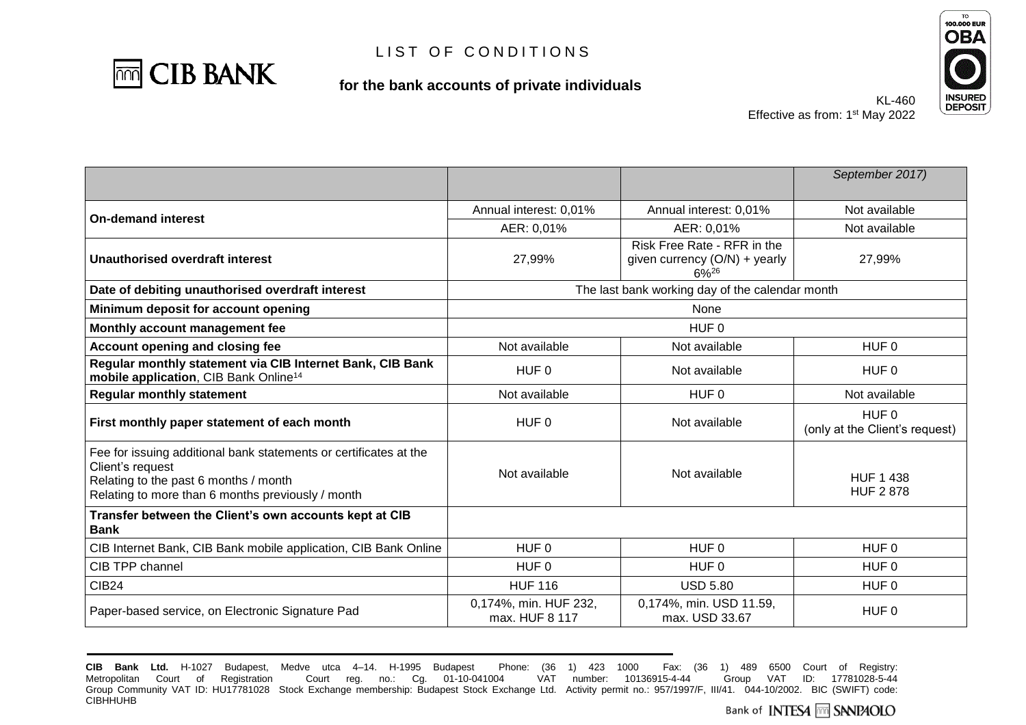

**for the bank accounts of private individuals**



Effective as from: 1<sup>st</sup> May 2022

KL-460

|                                                                                                                                                                                     |                                         |                                                                            | September 2017)                                    |
|-------------------------------------------------------------------------------------------------------------------------------------------------------------------------------------|-----------------------------------------|----------------------------------------------------------------------------|----------------------------------------------------|
|                                                                                                                                                                                     | Annual interest: 0,01%                  | Annual interest: 0,01%                                                     | Not available                                      |
| <b>On-demand interest</b>                                                                                                                                                           | AER: 0,01%                              | AER: 0,01%                                                                 | Not available                                      |
| <b>Unauthorised overdraft interest</b>                                                                                                                                              | 27,99%                                  | Risk Free Rate - RFR in the<br>given currency (O/N) + yearly<br>$6\%^{26}$ | 27,99%                                             |
| Date of debiting unauthorised overdraft interest                                                                                                                                    |                                         | The last bank working day of the calendar month                            |                                                    |
| Minimum deposit for account opening                                                                                                                                                 |                                         | None                                                                       |                                                    |
| Monthly account management fee                                                                                                                                                      |                                         | HUF 0                                                                      |                                                    |
| <b>Account opening and closing fee</b>                                                                                                                                              | Not available                           | Not available                                                              | HUF <sub>0</sub>                                   |
| Regular monthly statement via CIB Internet Bank, CIB Bank<br>mobile application, CIB Bank Online <sup>14</sup>                                                                      | HUF 0                                   | Not available                                                              | HUF <sub>0</sub>                                   |
| <b>Regular monthly statement</b>                                                                                                                                                    | Not available                           | HUF 0                                                                      | Not available                                      |
| First monthly paper statement of each month                                                                                                                                         | HUF <sub>0</sub>                        | Not available                                                              | HUF <sub>0</sub><br>(only at the Client's request) |
| Fee for issuing additional bank statements or certificates at the<br>Client's request<br>Relating to the past 6 months / month<br>Relating to more than 6 months previously / month | Not available                           | Not available                                                              | <b>HUF 1 438</b><br><b>HUF 2 878</b>               |
| Transfer between the Client's own accounts kept at CIB<br>Bank                                                                                                                      |                                         |                                                                            |                                                    |
| CIB Internet Bank, CIB Bank mobile application, CIB Bank Online                                                                                                                     | HUF <sub>0</sub>                        | HUF <sub>0</sub>                                                           | HUF <sub>0</sub>                                   |
| CIB TPP channel                                                                                                                                                                     | HUF <sub>0</sub>                        | HUF <sub>0</sub>                                                           | HUF <sub>0</sub>                                   |
| <b>CIB24</b>                                                                                                                                                                        | <b>HUF 116</b>                          | <b>USD 5.80</b>                                                            | HUF <sub>0</sub>                                   |
| Paper-based service, on Electronic Signature Pad                                                                                                                                    | 0,174%, min. HUF 232,<br>max. HUF 8 117 | 0,174%, min. USD 11.59,<br>max. USD 33.67                                  | HUF <sub>0</sub>                                   |

**CIB Bank Ltd.** H-1027 Budapest, Medve utca 4–14. H-1995 Budapest Phone: (36 1) 423 1000 Fax: (36 1) 489 6500 Court of Registry: Metropolitan Court of Registration Court reg. no.: Cg. 01-10-041004 Group Community VAT ID: HU17781028 Stock Exchange membership: Budapest Stock Exchange Ltd. Activity permit no.: 957/1997/F, III/41. 044-10/2002. BIC (SWIFT) code: **CIBHHUHB**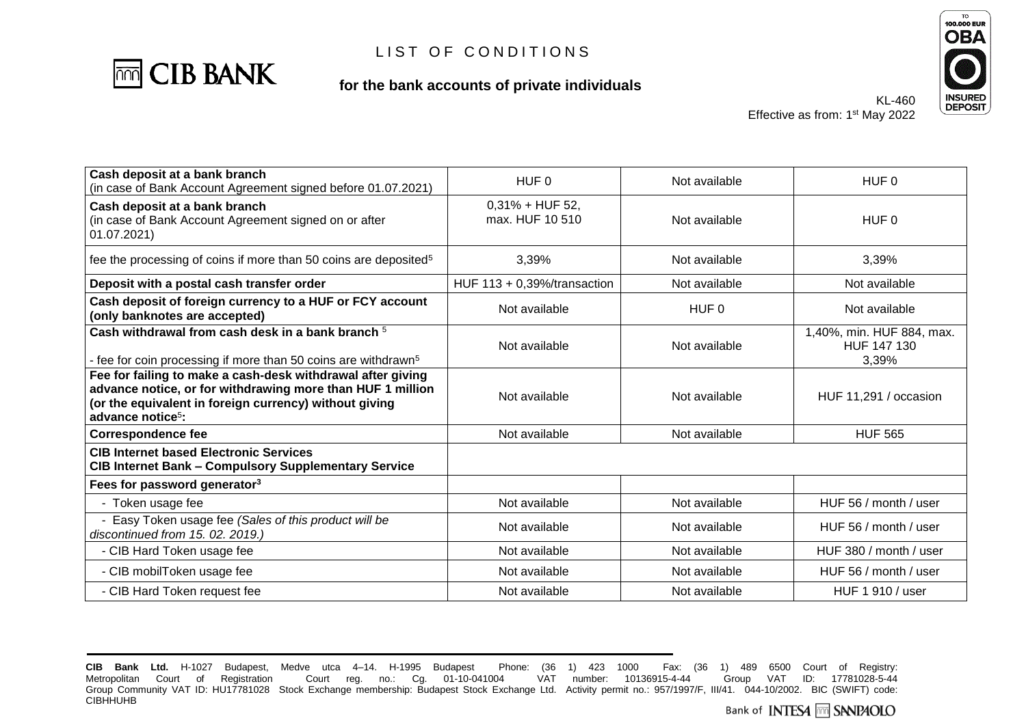

### **for the bank accounts of private individuals**



Effective as from: 1<sup>st</sup> May 2022

KL-460

| Cash deposit at a bank branch                                                                                                                                                                                        |                                          |               |                                                   |
|----------------------------------------------------------------------------------------------------------------------------------------------------------------------------------------------------------------------|------------------------------------------|---------------|---------------------------------------------------|
| (in case of Bank Account Agreement signed before 01.07.2021)                                                                                                                                                         | HUF 0                                    | Not available | HUF 0                                             |
| Cash deposit at a bank branch<br>(in case of Bank Account Agreement signed on or after<br>01.07.2021)                                                                                                                | $0,31\% + HUF 52,$<br>max, HUF 10 510    | Not available | HUF 0                                             |
| fee the processing of coins if more than 50 coins are deposited <sup>5</sup>                                                                                                                                         | 3,39%                                    | Not available | 3,39%                                             |
| Deposit with a postal cash transfer order                                                                                                                                                                            | HUF $113 + 0.39\frac{1}{10}$ transaction | Not available | Not available                                     |
| Cash deposit of foreign currency to a HUF or FCY account<br>(only banknotes are accepted)                                                                                                                            | Not available                            | HUF 0         | Not available                                     |
| Cash withdrawal from cash desk in a bank branch 5<br>- fee for coin processing if more than 50 coins are withdrawn <sup>5</sup>                                                                                      | Not available                            | Not available | 1,40%, min. HUF 884, max.<br>HUF 147 130<br>3,39% |
| Fee for failing to make a cash-desk withdrawal after giving<br>advance notice, or for withdrawing more than HUF 1 million<br>(or the equivalent in foreign currency) without giving<br>advance notice <sup>5</sup> : | Not available                            | Not available | HUF 11,291 / occasion                             |
| <b>Correspondence fee</b>                                                                                                                                                                                            | Not available                            | Not available | <b>HUF 565</b>                                    |
| <b>CIB Internet based Electronic Services</b><br><b>CIB Internet Bank - Compulsory Supplementary Service</b>                                                                                                         |                                          |               |                                                   |
| Fees for password generator <sup>3</sup>                                                                                                                                                                             |                                          |               |                                                   |
| - Token usage fee                                                                                                                                                                                                    | Not available                            | Not available | HUF 56 / month / user                             |
| Easy Token usage fee (Sales of this product will be<br>discontinued from 15.02.2019.)                                                                                                                                | Not available                            | Not available | HUF 56 / month / user                             |
| - CIB Hard Token usage fee                                                                                                                                                                                           | Not available                            | Not available | HUF 380 / month / user                            |
| - CIB mobilToken usage fee                                                                                                                                                                                           | Not available                            | Not available | HUF 56 / month / user                             |
| - CIB Hard Token request fee                                                                                                                                                                                         | Not available                            | Not available | HUF 1 910 / user                                  |

**CIB Bank Ltd.** H-1027 Budapest, Medve utca 4–14. H-1995 Budapest Phone: (36 1) 423 1000 Fax: (36 1) 489 6500 Court of Registry: Metropolitan Court of Registration Court reg. no.: Cg. 01-10-041004 Group Community VAT ID: HU17781028 Stock Exchange membership: Budapest Stock Exchange Ltd. Activity permit no.: 957/1997/F, III/41. 044-10/2002. BIC (SWIFT) code: **CIBHHUHB**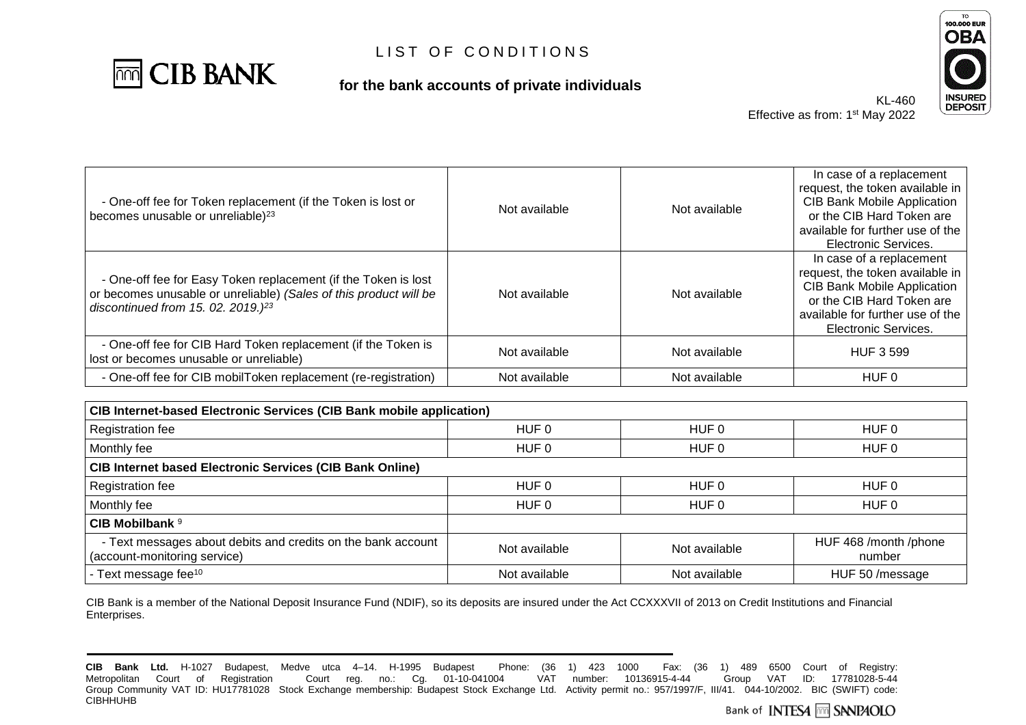

### **for the bank accounts of private individuals**



KL-460 Effective as from: 1<sup>st</sup> May 2022

| - One-off fee for Token replacement (if the Token is lost or<br>becomes unusable or unreliable) <sup>23</sup>                                                                | Not available | Not available | In case of a replacement<br>request, the token available in<br><b>CIB Bank Mobile Application</b><br>or the CIB Hard Token are<br>available for further use of the<br><b>Electronic Services.</b> |
|------------------------------------------------------------------------------------------------------------------------------------------------------------------------------|---------------|---------------|---------------------------------------------------------------------------------------------------------------------------------------------------------------------------------------------------|
| - One-off fee for Easy Token replacement (if the Token is lost<br>or becomes unusable or unreliable) (Sales of this product will be<br>discontinued from 15. 02. 2019.) $23$ | Not available | Not available | In case of a replacement<br>request, the token available in<br><b>CIB Bank Mobile Application</b><br>or the CIB Hard Token are<br>available for further use of the<br><b>Electronic Services.</b> |
| - One-off fee for CIB Hard Token replacement (if the Token is<br>lost or becomes unusable or unreliable)                                                                     | Not available | Not available | <b>HUF 3 599</b>                                                                                                                                                                                  |
| - One-off fee for CIB mobilToken replacement (re-registration)                                                                                                               | Not available | Not available | HUF 0                                                                                                                                                                                             |

| <b>CIB Internet-based Electronic Services (CIB Bank mobile application)</b>                  |               |               |                                 |  |
|----------------------------------------------------------------------------------------------|---------------|---------------|---------------------------------|--|
| Registration fee                                                                             | HUF 0         | HUF 0         | HUF 0                           |  |
| Monthly fee                                                                                  | HUF 0         | HUF 0         | HUF 0                           |  |
| <b>CIB Internet based Electronic Services (CIB Bank Online)</b>                              |               |               |                                 |  |
| Registration fee                                                                             | HUF 0         | HUF 0         | HUF 0                           |  |
| Monthly fee                                                                                  | HUF 0         | HUF 0         | HUF 0                           |  |
| CIB Mobilbank <sup>9</sup>                                                                   |               |               |                                 |  |
| - Text messages about debits and credits on the bank account<br>(account-monitoring service) | Not available | Not available | HUF 468 /month /phone<br>number |  |
| - Text message fee <sup>10</sup>                                                             | Not available | Not available | HUF 50 /message                 |  |

CIB Bank is a member of the National Deposit Insurance Fund (NDIF), so its deposits are insured under the Act CCXXXVII of 2013 on Credit Institutions and Financial Enterprises.

**CIB Bank Ltd.** H-1027 Budapest, Medve utca 4–14. H-1995 Budapest Phone: (36 1) 423 1000 Fax: (36 1) 489 6500 Court of Registry: Metropolitan Court of Registration Court reg. no.: Cg. 01-10-041004 Group Community VAT ID: HU17781028 Stock Exchange membership: Budapest Stock Exchange Ltd. Activity permit no.: 957/1997/F, III/41. 044-10/2002. BIC (SWIFT) code: **CIBHHUHB**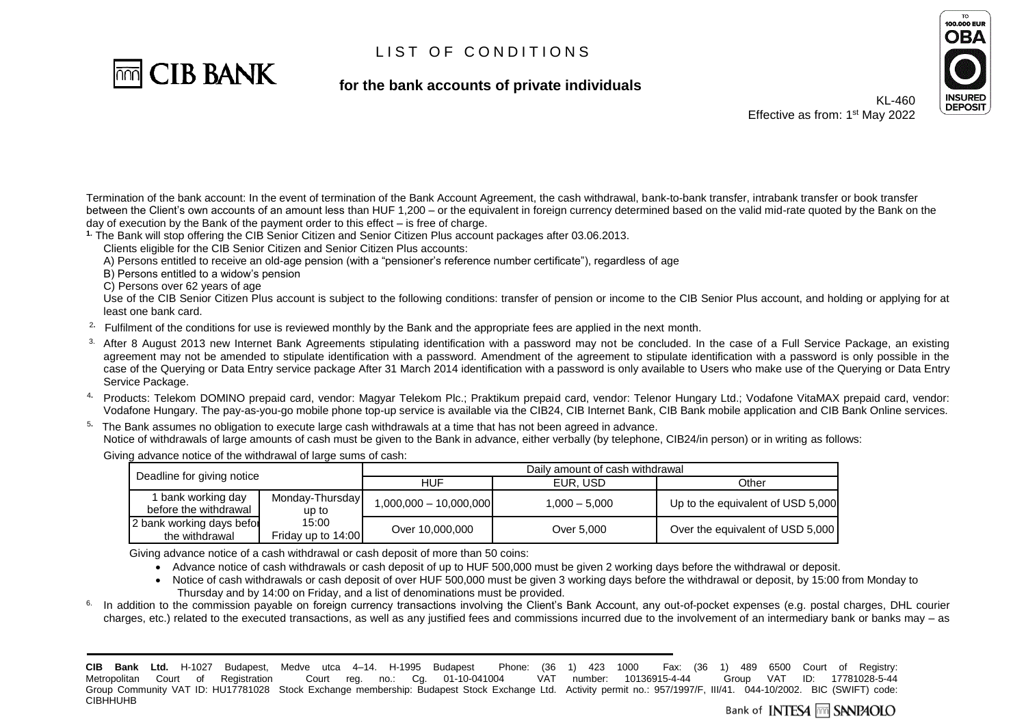

**for the bank accounts of private individuals**



KL-460 Effective as from: 1<sup>st</sup> May 2022

Termination of the bank account: In the event of termination of the Bank Account Agreement, the cash withdrawal, bank-to-bank transfer, intrabank transfer or book transfer between the Client's own accounts of an amount less than HUF 1,200 – or the equivalent in foreign currency determined based on the valid mid-rate quoted by the Bank on the day of execution by the Bank of the payment order to this effect – is free of charge.

**1.** The Bank will stop offering the CIB Senior Citizen and Senior Citizen Plus account packages after 03.06.2013.

Clients eligible for the CIB Senior Citizen and Senior Citizen Plus accounts:

A) Persons entitled to receive an old-age pension (with a "pensioner's reference number certificate"), regardless of age

B) Persons entitled to a widow's pension

C) Persons over 62 years of age

Use of the CIB Senior Citizen Plus account is subject to the following conditions: transfer of pension or income to the CIB Senior Plus account, and holding or applying for at least one bank card.

2**.** Fulfilment of the conditions for use is reviewed monthly by the Bank and the appropriate fees are applied in the next month.

- <sup>3.</sup> After 8 August 2013 new Internet Bank Agreements stipulating identification with a password may not be concluded. In the case of a Full Service Package, an existing agreement may not be amended to stipulate identification with a password. Amendment of the agreement to stipulate identification with a password is only possible in the case of the Querying or Data Entry service package After 31 March 2014 identification with a password is only available to Users who make use of the Querying or Data Entry Service Package.
- <sup>4</sup>**.** Products: Telekom DOMINO prepaid card, vendor: Magyar Telekom Plc.; Praktikum prepaid card, vendor: Telenor Hungary Ltd.; Vodafone VitaMAX prepaid card, vendor: Vodafone Hungary. The pay-as-you-go mobile phone top-up service is available via the CIB24, CIB Internet Bank, CIB Bank mobile application and CIB Bank Online services.

5**.** The Bank assumes no obligation to execute large cash withdrawals at a time that has not been agreed in advance. Notice of withdrawals of large amounts of cash must be given to the Bank in advance, either verbally (by telephone, CIB24/in person) or in writing as follows:

Giving advance notice of the withdrawal of large sums of cash:

| Deadline for giving notice                  |                             | Daily amount of cash withdrawal |                 |                                   |
|---------------------------------------------|-----------------------------|---------------------------------|-----------------|-----------------------------------|
|                                             |                             | HUF                             | EUR. USD        | Other                             |
| 1 bank working day<br>before the withdrawal | Monday-Thursday<br>up to    | $1,000,000 - 10,000,000$        | $1.000 - 5.000$ | Up to the equivalent of USD 5,000 |
| 2 bank working days befor<br>the withdrawal | 15:00<br>Friday up to 14:00 | Over 10,000,000                 | Over 5.000      | Over the equivalent of USD 5,000  |

Giving advance notice of a cash withdrawal or cash deposit of more than 50 coins:

• Advance notice of cash withdrawals or cash deposit of up to HUF 500,000 must be given 2 working days before the withdrawal or deposit.

- Notice of cash withdrawals or cash deposit of over HUF 500,000 must be given 3 working days before the withdrawal or deposit, by 15:00 from Monday to Thursday and by 14:00 on Friday, and a list of denominations must be provided.
- 6. In addition to the commission payable on foreign currency transactions involving the Client's Bank Account, any out-of-pocket expenses (e.g. postal charges, DHL courier charges, etc.) related to the executed transactions, as well as any justified fees and commissions incurred due to the involvement of an intermediary bank or banks may – as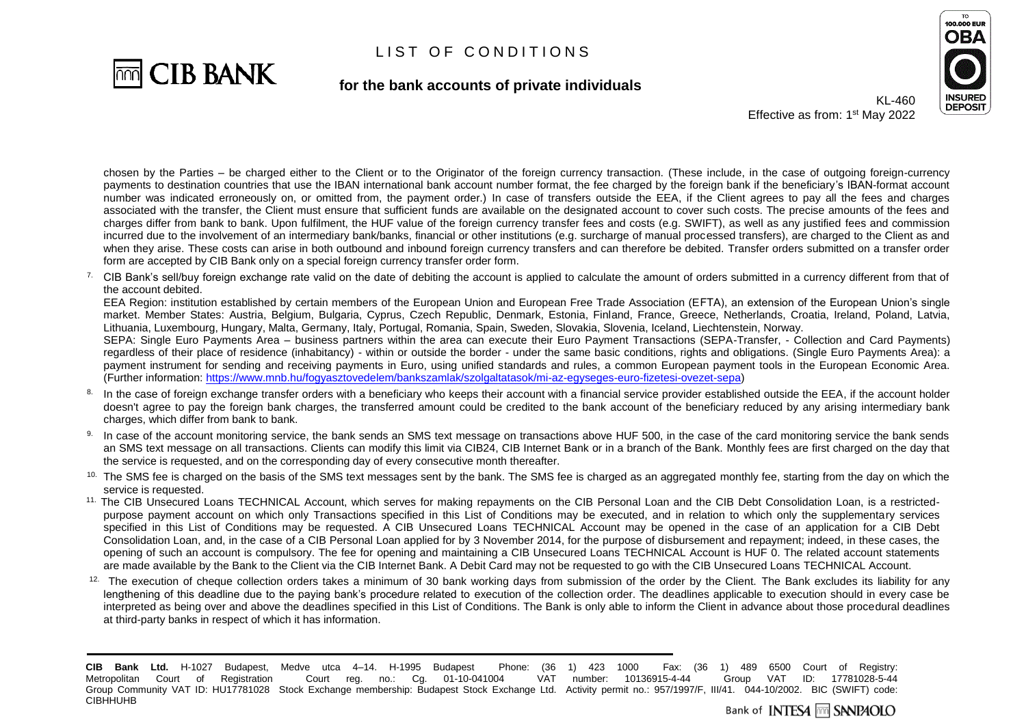

**for the bank accounts of private individuals**



KL-460 Effective as from: 1<sup>st</sup> May 2022

chosen by the Parties – be charged either to the Client or to the Originator of the foreign currency transaction. (These include, in the case of outgoing foreign-currency payments to destination countries that use the IBAN international bank account number format, the fee charged by the foreign bank if the beneficiary's IBAN-format account number was indicated erroneously on, or omitted from, the payment order.) In case of transfers outside the EEA, if the Client agrees to pay all the fees and charges associated with the transfer, the Client must ensure that sufficient funds are available on the designated account to cover such costs. The precise amounts of the fees and charges differ from bank to bank. Upon fulfilment, the HUF value of the foreign currency transfer fees and costs (e.g. SWIFT), as well as any justified fees and commission incurred due to the involvement of an intermediary bank/banks, financial or other institutions (e.g. surcharge of manual processed transfers), are charged to the Client as and when they arise. These costs can arise in both outbound and inbound foreign currency transfers and can therefore be debited. Transfer orders submitted on a transfer order form are accepted by CIB Bank only on a special foreign currency transfer order form.

<sup>7.</sup> CIB Bank's sell/buy foreign exchange rate valid on the date of debiting the account is applied to calculate the amount of orders submitted in a currency different from that of the account debited.

EEA Region: institution established by certain members of the European Union and European Free Trade Association (EFTA), an extension of the European Union's single market. Member States: Austria, Belgium, Bulgaria, Cyprus, Czech Republic, Denmark, Estonia, Finland, France, Greece, Netherlands, Croatia, Ireland, Poland, Latvia, Lithuania, Luxembourg, Hungary, Malta, Germany, Italy, Portugal, Romania, Spain, Sweden, Slovakia, Slovenia, Iceland, Liechtenstein, Norway.

SEPA: Single Euro Payments Area – business partners within the area can execute their Euro Payment Transactions (SEPA-Transfer, - Collection and Card Payments) regardless of their place of residence (inhabitancy) - within or outside the border - under the same basic conditions, rights and obligations. (Single Euro Payments Area): a payment instrument for sending and receiving payments in Euro, using unified standards and rules, a common European payment tools in the European Economic Area. (Further information: [https://www.mnb.hu/fogyasztovedelem/bankszamlak/szolgaltatasok/mi-az-egyseges-euro-fizetesi-ovezet-sepa\)](https://www.mnb.hu/fogyasztovedelem/bankszamlak/szolgaltatasok/mi-az-egyseges-euro-fizetesi-ovezet-sepa)

- 8. In the case of foreign exchange transfer orders with a beneficiary who keeps their account with a financial service provider established outside the EEA, if the account holder doesn't agree to pay the foreign bank charges, the transferred amount could be credited to the bank account of the beneficiary reduced by any arising intermediary bank charges, which differ from bank to bank.
- 9. In case of the account monitoring service, the bank sends an SMS text message on transactions above HUF 500, in the case of the card monitoring service the bank sends an SMS text message on all transactions. Clients can modify this limit via CIB24, CIB Internet Bank or in a branch of the Bank. Monthly fees are first charged on the day that the service is requested, and on the corresponding day of every consecutive month thereafter.
- <sup>10.</sup> The SMS fee is charged on the basis of the SMS text messages sent by the bank. The SMS fee is charged as an aggregated monthly fee, starting from the day on which the service is requested.
- <sup>11.</sup> The CIB Unsecured Loans TECHNICAL Account, which serves for making repayments on the CIB Personal Loan and the CIB Debt Consolidation Loan, is a restrictedpurpose payment account on which only Transactions specified in this List of Conditions may be executed, and in relation to which only the supplementary services specified in this List of Conditions may be requested. A CIB Unsecured Loans TECHNICAL Account may be opened in the case of an application for a CIB Debt Consolidation Loan, and, in the case of a CIB Personal Loan applied for by 3 November 2014, for the purpose of disbursement and repayment; indeed, in these cases, the opening of such an account is compulsory. The fee for opening and maintaining a CIB Unsecured Loans TECHNICAL Account is HUF 0. The related account statements are made available by the Bank to the Client via the CIB Internet Bank. A Debit Card may not be requested to go with the CIB Unsecured Loans TECHNICAL Account.
- 12. The execution of cheque collection orders takes a minimum of 30 bank working days from submission of the order by the Client. The Bank excludes its liability for any lengthening of this deadline due to the paying bank's procedure related to execution of the collection order. The deadlines applicable to execution should in every case be interpreted as being over and above the deadlines specified in this List of Conditions. The Bank is only able to inform the Client in advance about those procedural deadlines at third-party banks in respect of which it has information.

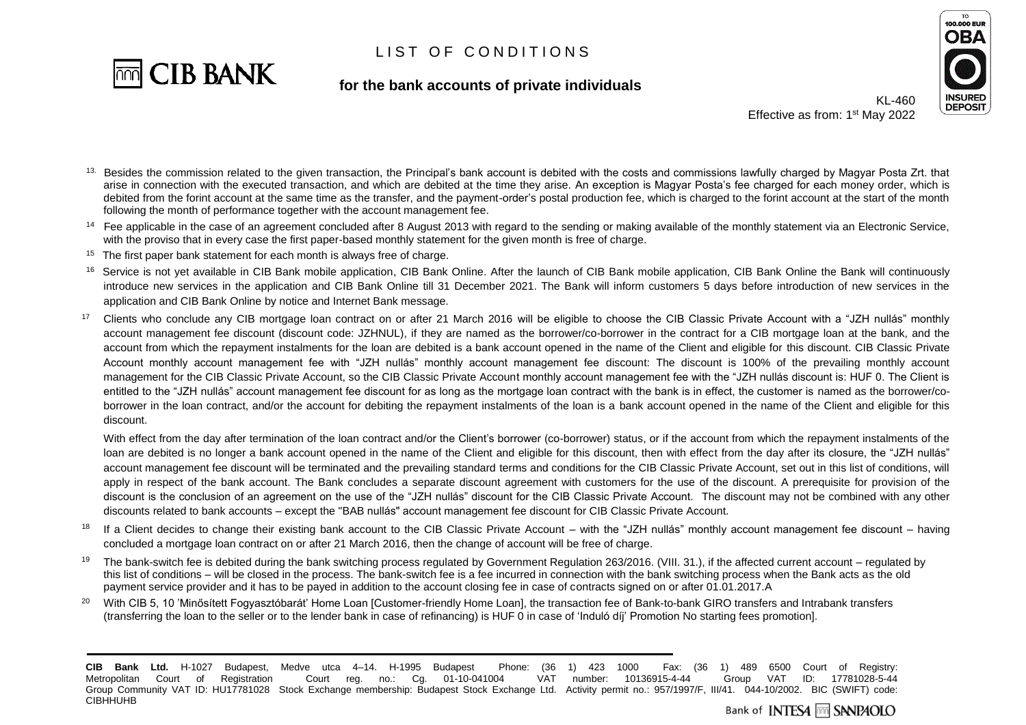

#### **for the bank accounts of private individuals**



KL-460 Effective as from: 1<sup>st</sup> May 2022

- 13. Besides the commission related to the given transaction, the Principal's bank account is debited with the costs and commissions lawfully charged by Magyar Posta Zrt. that arise in connection with the executed transaction, and which are debited at the time they arise. An exception is Magyar Posta's fee charged for each money order, which is debited from the forint account at the same time as the transfer, and the payment-order's postal production fee, which is charged to the forint account at the start of the month following the month of performance together with the account management fee.
- <sup>14</sup> Fee applicable in the case of an agreement concluded after 8 August 2013 with regard to the sending or making available of the monthly statement via an Electronic Service, with the proviso that in every case the first paper-based monthly statement for the given month is free of charge.
- <sup>15</sup>The first paper bank statement for each month is always free of charge.
- <sup>16</sup> Service is not yet available in CIB Bank mobile application, CIB Bank Online. After the launch of CIB Bank mobile application, CIB Bank Online the Bank will continuously introduce new services in the application and CIB Bank Online till 31 December 2021. The Bank will inform customers 5 days before introduction of new services in the application and CIB Bank Online by notice and Internet Bank message.
- <sup>17</sup> Clients who conclude any CIB mortgage loan contract on or after 21 March 2016 will be eligible to choose the CIB Classic Private Account with a "JZH nullás" monthly account management fee discount (discount code: JZHNUL), if they are named as the borrower/co-borrower in the contract for a CIB mortgage loan at the bank, and the account from which the repayment instalments for the loan are debited is a bank account opened in the name of the Client and eligible for this discount. CIB Classic Private Account monthly account management fee with "JZH nullás" monthly account management fee discount: The discount is 100% of the prevailing monthly account management for the CIB Classic Private Account, so the CIB Classic Private Account monthly account management fee with the "JZH nullás discount is: HUF 0. The Client is entitled to the "JZH nullás" account management fee discount for as long as the mortgage loan contract with the bank is in effect, the customer is named as the borrower/coborrower in the loan contract, and/or the account for debiting the repayment instalments of the loan is a bank account opened in the name of the Client and eligible for this discount.

With effect from the day after termination of the loan contract and/or the Client's borrower (co-borrower) status, or if the account from which the repayment instalments of the loan are debited is no longer a bank account opened in the name of the Client and eligible for this discount, then with effect from the day after its closure, the "JZH nullás" account management fee discount will be terminated and the prevailing standard terms and conditions for the CIB Classic Private Account, set out in this list of conditions, will apply in respect of the bank account. The Bank concludes a separate discount agreement with customers for the use of the discount. A prerequisite for provision of the discount is the conclusion of an agreement on the use of the "JZH nullás" discount for the CIB Classic Private Account. The discount may not be combined with any other discounts related to bank accounts – except the "BAB nullás" account management fee discount for CIB Classic Private Account.

- <sup>18</sup> If a Client decides to change their existing bank account to the CIB Classic Private Account with the "JZH nullás" monthly account management fee discount having concluded a mortgage loan contract on or after 21 March 2016, then the change of account will be free of charge.
- <sup>19</sup> The bank-switch fee is debited during the bank switching process regulated by Government Regulation 263/2016. (VIII. 31.), if the affected current account regulated by this list of conditions – will be closed in the process. The bank-switch fee is a fee incurred in connection with the bank switching process when the Bank acts as the old payment service provider and it has to be payed in addition to the account closing fee in case of contracts signed on or after 01.01.2017.A
- <sup>20</sup> With CIB 5, 10 'Minősített Fogyasztóbarát' Home Loan [Customer-friendly Home Loan], the transaction fee of Bank-to-bank GIRO transfers and Intrabank transfers (transferring the loan to the seller or to the lender bank in case of refinancing) is HUF 0 in case of 'Induló díj' Promotion No starting fees promotion].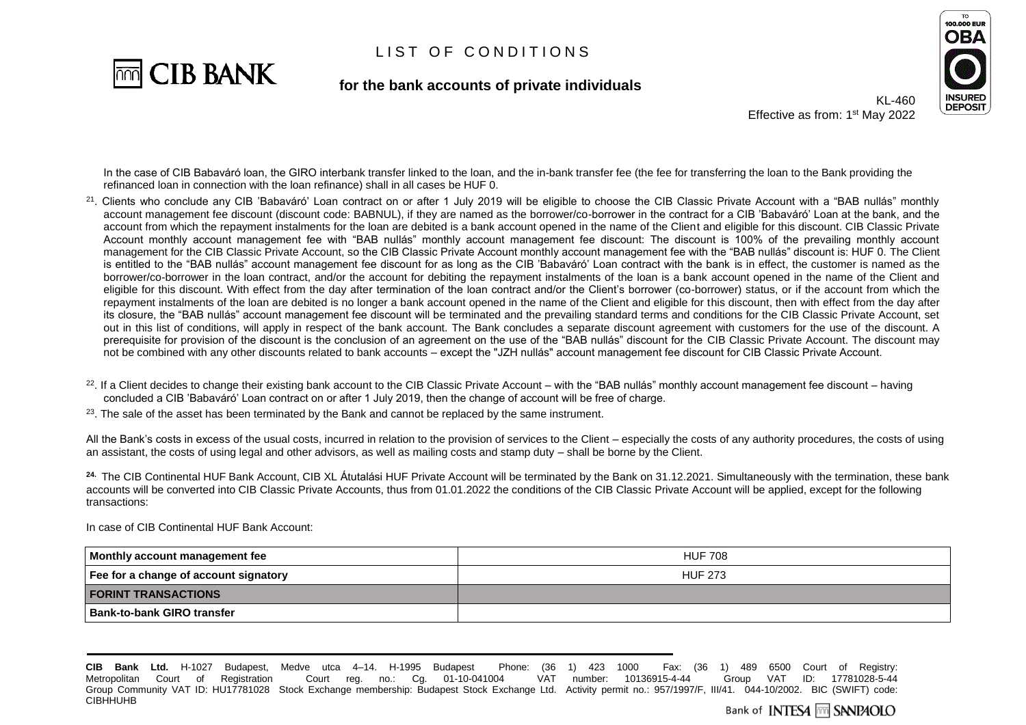

#### **for the bank accounts of private individuals**



KL-460 Effective as from: 1<sup>st</sup> May 2022

In the case of CIB Babaváró loan, the GIRO interbank transfer linked to the loan, and the in-bank transfer fee (the fee for transferring the loan to the Bank providing the refinanced loan in connection with the loan refinance) shall in all cases be HUF 0.

- $^{21}$ . Clients who conclude any CIB 'Babaváró' Loan contract on or after 1 July 2019 will be eligible to choose the CIB Classic Private Account with a "BAB nullás" monthly account management fee discount (discount code: BABNUL), if they are named as the borrower/co-borrower in the contract for a CIB 'Babaváró' Loan at the bank, and the account from which the repayment instalments for the loan are debited is a bank account opened in the name of the Client and eligible for this discount. CIB Classic Private Account monthly account management fee with "BAB nullás" monthly account management fee discount: The discount is 100% of the prevailing monthly account management for the CIB Classic Private Account, so the CIB Classic Private Account monthly account management fee with the "BAB nullás" discount is: HUF 0. The Client is entitled to the "BAB nullás" account management fee discount for as long as the CIB 'Babaváró' Loan contract with the bank is in effect, the customer is named as the borrower/co-borrower in the loan contract, and/or the account for debiting the repayment instalments of the loan is a bank account opened in the name of the Client and eligible for this discount. With effect from the day after termination of the loan contract and/or the Client's borrower (co-borrower) status, or if the account from which the repayment instalments of the loan are debited is no longer a bank account opened in the name of the Client and eligible for this discount, then with effect from the day after its closure, the "BAB nullás" account management fee discount will be terminated and the prevailing standard terms and conditions for the CIB Classic Private Account, set out in this list of conditions, will apply in respect of the bank account. The Bank concludes a separate discount agreement with customers for the use of the discount. A prerequisite for provision of the discount is the conclusion of an agreement on the use of the "BAB nullás" discount for the CIB Classic Private Account. The discount may not be combined with any other discounts related to bank accounts – except the "JZH nullás" account management fee discount for CIB Classic Private Account.
- $^{22}$ . If a Client decides to change their existing bank account to the CIB Classic Private Account with the "BAB nullás" monthly account management fee discount having concluded a CIB 'Babaváró' Loan contract on or after 1 July 2019, then the change of account will be free of charge.
- $23$ . The sale of the asset has been terminated by the Bank and cannot be replaced by the same instrument.

All the Bank's costs in excess of the usual costs, incurred in relation to the provision of services to the Client – especially the costs of any authority procedures, the costs of using an assistant, the costs of using legal and other advisors, as well as mailing costs and stamp duty – shall be borne by the Client.

**24.** The CIB Continental HUF Bank Account, CIB XL Átutalási HUF Private Account will be terminated by the Bank on 31.12.2021. Simultaneously with the termination, these bank accounts will be converted into CIB Classic Private Accounts, thus from 01.01.2022 the conditions of the CIB Classic Private Account will be applied, except for the following transactions:

In case of CIB Continental HUF Bank Account:

| Monthly account management fee        | <b>HUF 708</b> |
|---------------------------------------|----------------|
| Fee for a change of account signatory | <b>HUF 273</b> |
| <b>FORINT TRANSACTIONS</b>            |                |
| Bank-to-bank GIRO transfer            |                |

**CIB Bank Ltd.** H-1027 Budapest, Medve utca 4–14. H-1995 Budapest Phone: (36 1) 423 1000 Fax: (36 1) 489 6500 Court of Registry: Metropolitan Court of Registration Court reg. no.: Cg. 01-10-041004 VAT number: 10136915-4-44 Group VAT ID: 17781028-5-44 Group Community VAT ID: HU17781028 Stock Exchange membership: Budapest Stock Exchange Ltd. Activity permit no.: 957/1997/F, III/41. 044-10/2002. BIC (SWIFT) code: **CIBHHUHB**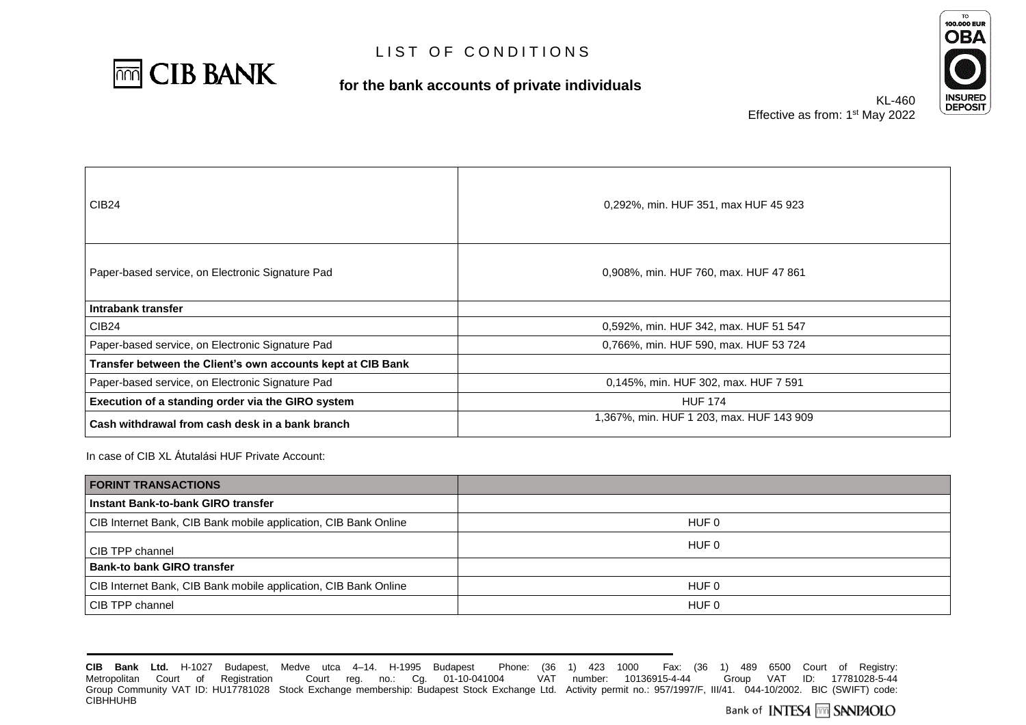

#### **for the bank accounts of private individuals**



Effective as from:

| KL-460                   | l<br>L |
|--------------------------|--------|
| 1 <sup>st</sup> May 2022 |        |

| <b>CIB24</b>                                                | 0,292%, min. HUF 351, max HUF 45 923     |
|-------------------------------------------------------------|------------------------------------------|
| Paper-based service, on Electronic Signature Pad            | 0,908%, min. HUF 760, max. HUF 47 861    |
| Intrabank transfer                                          |                                          |
| CIB <sub>24</sub>                                           | 0,592%, min. HUF 342, max. HUF 51 547    |
| Paper-based service, on Electronic Signature Pad            | 0.766%, min. HUF 590, max. HUF 53 724    |
| Transfer between the Client's own accounts kept at CIB Bank |                                          |
| Paper-based service, on Electronic Signature Pad            | 0,145%, min. HUF 302, max. HUF 7 591     |
| Execution of a standing order via the GIRO system           | <b>HUF 174</b>                           |
| Cash withdrawal from cash desk in a bank branch             | 1,367%, min. HUF 1 203, max. HUF 143 909 |

In case of CIB XL Átutalási HUF Private Account:

| <b>FORINT TRANSACTIONS</b>                                      |       |
|-----------------------------------------------------------------|-------|
| Instant Bank-to-bank GIRO transfer                              |       |
| CIB Internet Bank, CIB Bank mobile application, CIB Bank Online | HUF 0 |
| CIB TPP channel                                                 | HUF 0 |
| <b>Bank-to bank GIRO transfer</b>                               |       |
| CIB Internet Bank, CIB Bank mobile application, CIB Bank Online | HUF 0 |
| CIB TPP channel                                                 | HUF 0 |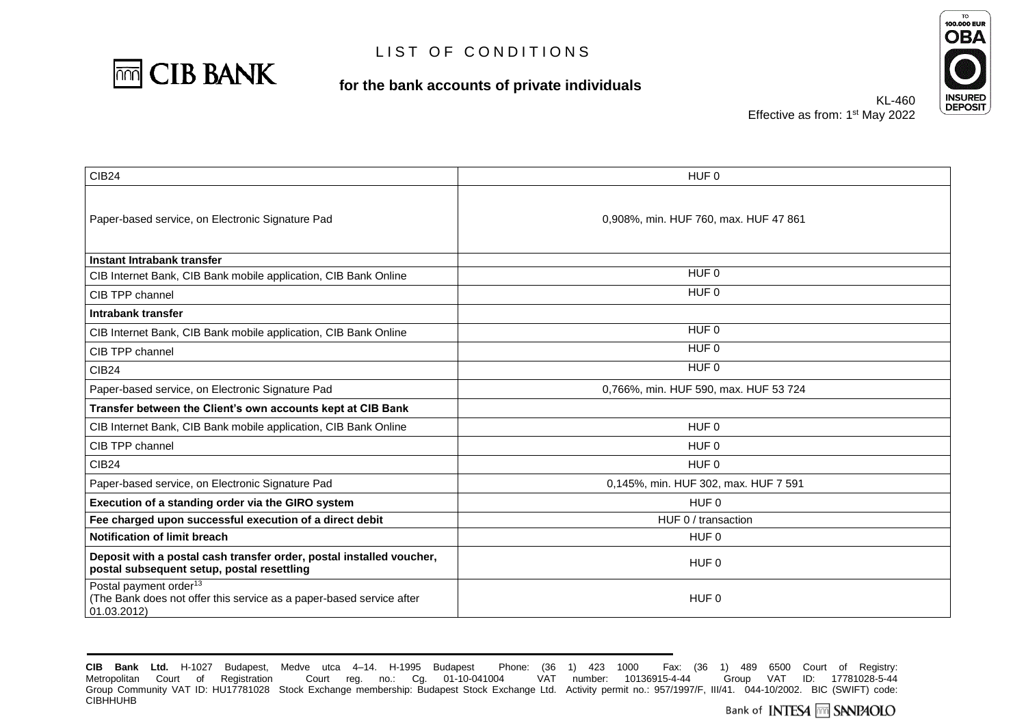

#### **for the bank accounts of private individuals**



KL-460 Effective as from: 1<sup>st</sup> May 2022

| <b>CIB24</b>                                                                                                              | HUF 0                                 |
|---------------------------------------------------------------------------------------------------------------------------|---------------------------------------|
| Paper-based service, on Electronic Signature Pad                                                                          | 0,908%, min. HUF 760, max. HUF 47 861 |
| Instant Intrabank transfer                                                                                                |                                       |
| CIB Internet Bank, CIB Bank mobile application, CIB Bank Online                                                           | HUF 0                                 |
| CIB TPP channel                                                                                                           | HUF 0                                 |
| Intrabank transfer                                                                                                        |                                       |
| CIB Internet Bank, CIB Bank mobile application, CIB Bank Online                                                           | HUF 0                                 |
| CIB TPP channel                                                                                                           | HUF 0                                 |
| <b>CIB24</b>                                                                                                              | HUF 0                                 |
| Paper-based service, on Electronic Signature Pad                                                                          | 0,766%, min. HUF 590, max. HUF 53 724 |
| Transfer between the Client's own accounts kept at CIB Bank                                                               |                                       |
| CIB Internet Bank, CIB Bank mobile application, CIB Bank Online                                                           | HUF 0                                 |
| CIB TPP channel                                                                                                           | HUF 0                                 |
| <b>CIB24</b>                                                                                                              | HUF 0                                 |
| Paper-based service, on Electronic Signature Pad                                                                          | 0,145%, min. HUF 302, max. HUF 7 591  |
| Execution of a standing order via the GIRO system                                                                         | HUF 0                                 |
| Fee charged upon successful execution of a direct debit                                                                   | HUF 0 / transaction                   |
| Notification of limit breach                                                                                              | HUF <sub>0</sub>                      |
| Deposit with a postal cash transfer order, postal installed voucher,<br>postal subsequent setup, postal resettling        | HUF <sub>0</sub>                      |
| Postal payment order <sup>13</sup><br>(The Bank does not offer this service as a paper-based service after<br>01.03.2012) | HUF <sub>0</sub>                      |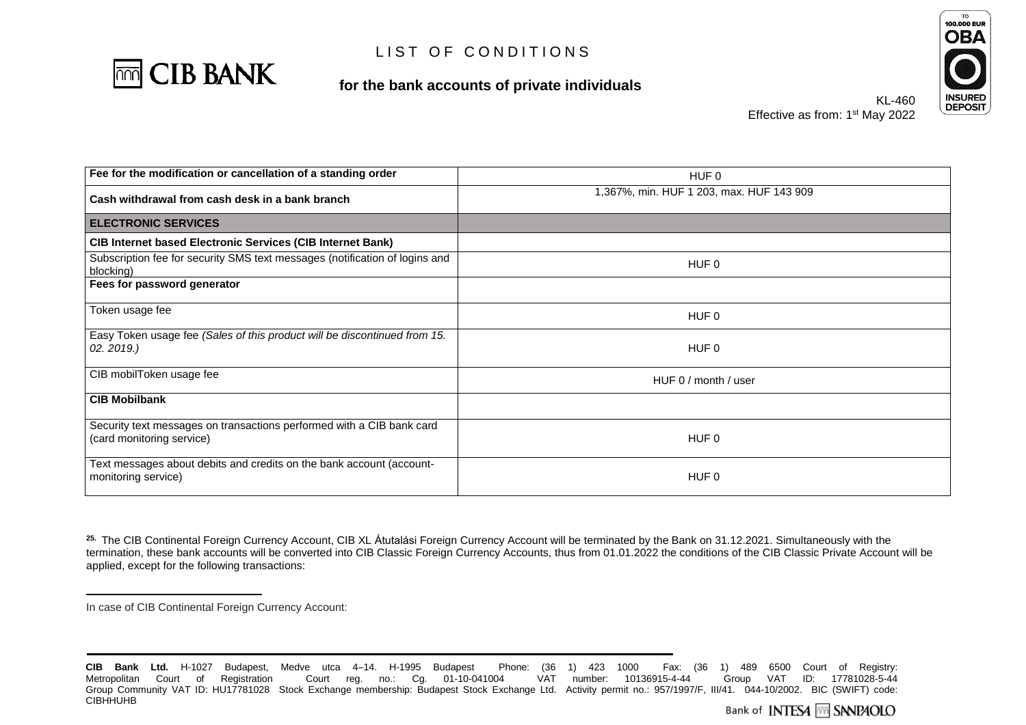

#### **for the bank accounts of private individuals**



KL-460 Effective as from: 1<sup>st</sup> May 2022

| Fee for the modification or cancellation of a standing order                                       |                                          |
|----------------------------------------------------------------------------------------------------|------------------------------------------|
|                                                                                                    | HUF <sub>0</sub>                         |
| Cash withdrawal from cash desk in a bank branch                                                    | 1,367%, min. HUF 1 203, max. HUF 143 909 |
| <b>ELECTRONIC SERVICES</b>                                                                         |                                          |
| <b>CIB Internet based Electronic Services (CIB Internet Bank)</b>                                  |                                          |
| Subscription fee for security SMS text messages (notification of logins and<br>blocking)           | HUF 0                                    |
| Fees for password generator                                                                        |                                          |
| Token usage fee                                                                                    | HUF 0                                    |
| Easy Token usage fee (Sales of this product will be discontinued from 15.<br>02.2019.)             | HUF 0                                    |
| CIB mobilToken usage fee                                                                           | HUF 0 / month / user                     |
| <b>CIB Mobilbank</b>                                                                               |                                          |
| Security text messages on transactions performed with a CIB bank card<br>(card monitoring service) | HUF 0                                    |
| Text messages about debits and credits on the bank account (account-<br>monitoring service)        | HUF 0                                    |

<sup>25.</sup> The CIB Continental Foreign Currency Account, CIB XL Átutalási Foreign Currency Account will be terminated by the Bank on 31.12.2021. Simultaneously with the termination, these bank accounts will be converted into CIB Classic Foreign Currency Accounts, thus from 01.01.2022 the conditions of the CIB Classic Private Account will be applied, except for the following transactions:

 $\overline{a}$ 

In case of CIB Continental Foreign Currency Account:

**CIB Bank Ltd.** H-1027 Budapest, Medve utca 4–14. H-1995 Budapest Phone: (36 1) 423 1000 Fax: (36 1) 489 6500 Court of Registry: Metropolitan Court of Registration Court reg. no.: Cg. 01-10-041004 VAT number: 10136915-4-44 Group Community VAT ID: HU17781028 Stock Exchange membership: Budapest Stock Exchange Ltd. Activity permit no.: 957/1997/F, III/41. 044-10/2002. BIC (SWIFT) code: **CIBHHUHB**